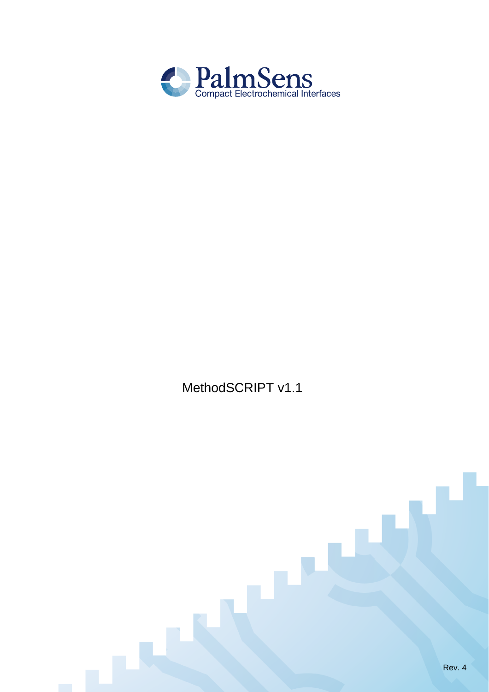

MethodSCRIPT v1.1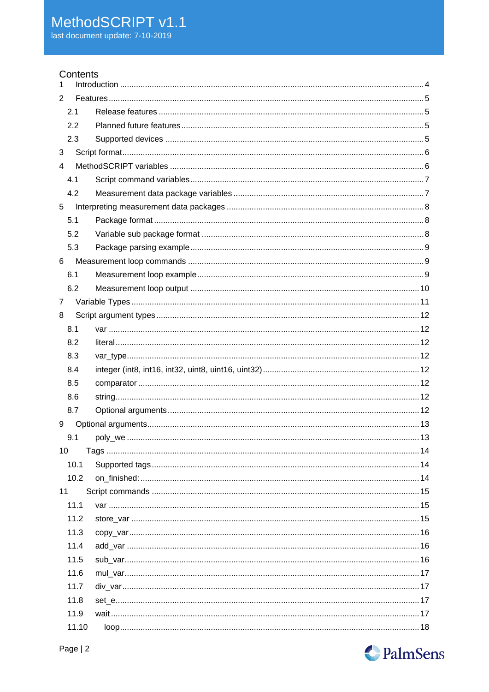# Contents

| 1              |  |
|----------------|--|
| $\overline{2}$ |  |
| 2.1            |  |
| 2.2            |  |
| 2.3            |  |
| 3              |  |
| 4              |  |
| 4.1            |  |
| 4.2            |  |
| 5              |  |
| 5.1            |  |
| 5.2            |  |
| 5.3            |  |
| 6              |  |
| 6.1            |  |
| 6.2            |  |
| $\overline{7}$ |  |
| 8              |  |
| 8.1            |  |
| 8.2            |  |
| 8.3            |  |
| 8.4            |  |
| 8.5            |  |
| 8.6            |  |
| 8.7            |  |
| 9              |  |
| 9.1            |  |
| 10             |  |
| 10.1           |  |
| 10.2           |  |
| 11             |  |
| 11.1           |  |
| 11.2           |  |
| 11.3           |  |
| 11.4           |  |
| 11.5           |  |
| 11.6           |  |
| 11.7           |  |
| 11.8           |  |
| 11.9           |  |
| 11.10          |  |

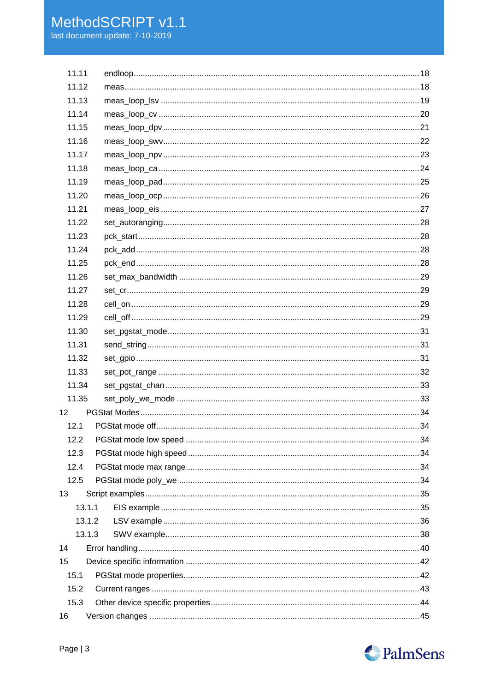| 11.11           |  |
|-----------------|--|
| 11.12           |  |
| 11.13           |  |
| 11.14           |  |
| 11.15           |  |
| 11.16           |  |
| 11.17           |  |
| 11.18           |  |
| 11.19           |  |
| 11.20           |  |
| 11.21           |  |
| 11.22           |  |
| 11.23           |  |
| 11.24           |  |
| 11.25           |  |
| 11.26           |  |
| 11.27           |  |
| 11.28           |  |
| 11.29           |  |
| 11.30           |  |
| 11.31           |  |
| 11.32           |  |
| 11.33           |  |
| 11.34           |  |
| 11.35           |  |
| 12 <sub>2</sub> |  |
| 12.1            |  |
| 12.2            |  |
| 12.3            |  |
| 12.4            |  |
| 12.5            |  |
| 13              |  |
| 13.1.1          |  |
| 13.1.2          |  |
| 13.1.3          |  |
| 14              |  |
| 15              |  |
| 15.1            |  |
| 15.2            |  |
| 15.3            |  |
| 16              |  |
|                 |  |

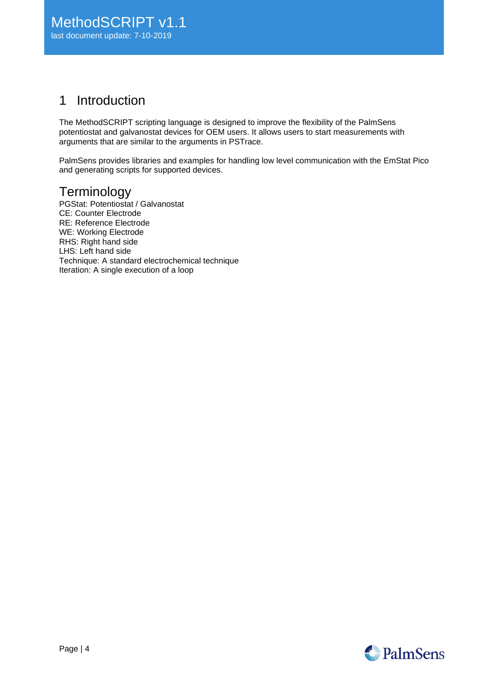# <span id="page-3-0"></span>1 Introduction

The MethodSCRIPT scripting language is designed to improve the flexibility of the PalmSens potentiostat and galvanostat devices for OEM users. It allows users to start measurements with arguments that are similar to the arguments in PSTrace.

PalmSens provides libraries and examples for handling low level communication with the EmStat Pico and generating scripts for supported devices.

# **Terminology**

PGStat: Potentiostat / Galvanostat CE: Counter Electrode RE: Reference Electrode WE: Working Electrode RHS: Right hand side LHS: Left hand side Technique: A standard electrochemical technique Iteration: A single execution of a loop

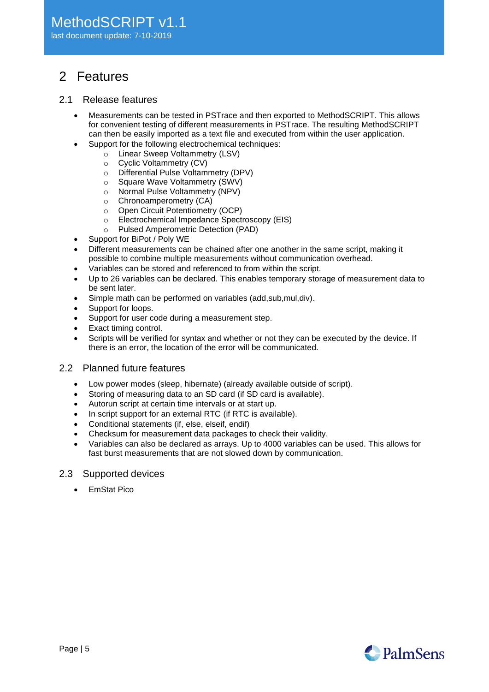# <span id="page-4-0"></span>2 Features

## <span id="page-4-1"></span>2.1 Release features

- Measurements can be tested in PSTrace and then exported to MethodSCRIPT. This allows for convenient testing of different measurements in PSTrace. The resulting MethodSCRIPT can then be easily imported as a text file and executed from within the user application.
- Support for the following electrochemical techniques:
	- o Linear Sweep Voltammetry (LSV)
		- o Cyclic Voltammetry (CV)
		- o Differential Pulse Voltammetry (DPV)
		- o Square Wave Voltammetry (SWV)
		- o Normal Pulse Voltammetry (NPV)
		- o Chronoamperometry (CA)
		- o Open Circuit Potentiometry (OCP)
		- o Electrochemical Impedance Spectroscopy (EIS)
	- o Pulsed Amperometric Detection (PAD)
- Support for BiPot / Poly WE
- Different measurements can be chained after one another in the same script, making it possible to combine multiple measurements without communication overhead.
- Variables can be stored and referenced to from within the script.
- Up to 26 variables can be declared. This enables temporary storage of measurement data to be sent later.
- Simple math can be performed on variables (add,sub,mul,div).
- Support for loops.
- Support for user code during a measurement step.
- Exact timing control.
- Scripts will be verified for syntax and whether or not they can be executed by the device. If there is an error, the location of the error will be communicated.
- <span id="page-4-2"></span>2.2 Planned future features
	- Low power modes (sleep, hibernate) (already available outside of script).
	- Storing of measuring data to an SD card (if SD card is available).
	- Autorun script at certain time intervals or at start up.
	- In script support for an external RTC (if RTC is available).
	- Conditional statements (if, else, elseif, endif)
	- Checksum for measurement data packages to check their validity.
	- Variables can also be declared as arrays. Up to 4000 variables can be used. This allows for fast burst measurements that are not slowed down by communication.

## <span id="page-4-3"></span>2.3 Supported devices

• EmStat Pico

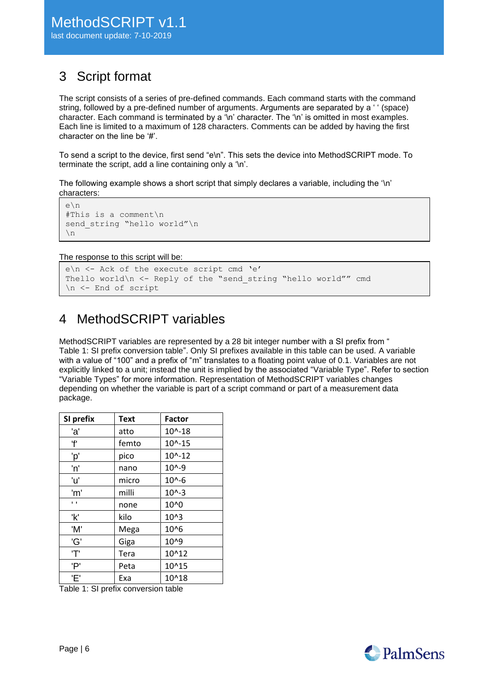# <span id="page-5-0"></span>3 Script format

The script consists of a series of pre-defined commands. Each command starts with the command string, followed by a pre-defined number of arguments. Arguments are separated by a ' ' (space) character. Each command is terminated by a '\n' character. The '\n' is omitted in most examples. Each line is limited to a maximum of 128 characters. Comments can be added by having the first character on the line be '#'.

To send a script to the device, first send "e\n". This sets the device into MethodSCRIPT mode. To terminate the script, add a line containing only a '\n'.

The following example shows a short script that simply declares a variable, including the '\n' characters:

```
e\n
#This is a comment\n
send string "hello world"\n
\ln
```
The response to this script will be:

```
e\n <- Ack of the execute script cmd 'e'
Thello world\n <- Reply of the "send_string "hello world"" cmd
\n <- End of script
```
# <span id="page-5-1"></span>4 MethodSCRIPT variables

MethodSCRIPT variables are represented by a 28 bit integer number with a SI prefix from ["](#page-5-2) [Table 1: SI prefix conversion table"](#page-5-2). Only SI prefixes available in this table can be used. A variable with a value of "100" and a prefix of "m" translates to a floating point value of 0.1. Variables are not explicitly linked to a unit; instead the unit is implied by the associated "Variable Type". Refer to section ["Variable Types"](#page-10-0) for more information. Representation of MethodSCRIPT variables changes depending on whether the variable is part of a script command or part of a measurement data package.

<span id="page-5-2"></span>

| SI prefix      | <b>Text</b> | <b>Factor</b>     |
|----------------|-------------|-------------------|
| 'a'            | atto        | $10^{\circ} - 18$ |
| 'f'            | femto       | $10^{(-15)}$      |
| 'p'            | pico        | $10^{(-12)}$      |
| 'n'            | nano        | $10^{0.9}$        |
| 'u'            | micro       | $10^{\circ} - 6$  |
| 'm'            | milli       | $10^{(-3)}$       |
| $\blacksquare$ | none        | 10^0              |
| 'k'            | kilo        | $10^{4}3$         |
| 'M'            | Mega        | 10^6              |
| 'G'            | Giga        | 10^9              |
| 'Τ'            | Tera        | 10^12             |
| 'P'            | Peta        | 10^15             |
| 'E'            | Exa         | 10^18             |

<span id="page-5-3"></span>Table 1: SI prefix conversion table

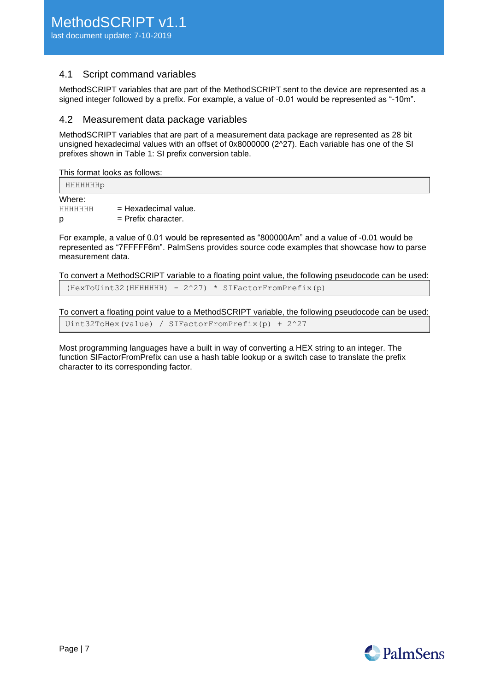# <span id="page-6-0"></span>4.1 Script command variables

MethodSCRIPT variables that are part of the MethodSCRIPT sent to the device are represented as a signed integer followed by a prefix. For example, a value of -0.01 would be represented as "-10m".

# <span id="page-6-1"></span>4.2 Measurement data package variables

MethodSCRIPT variables that are part of a measurement data package are represented as 28 bit unsigned hexadecimal values with an offset of 0x8000000 (2^27). Each variable has one of the SI prefixes shown in [Table 1: SI prefix conversion table.](#page-5-3)

This format looks as follows:

| HHHHHHHp               |                                                 |  |  |
|------------------------|-------------------------------------------------|--|--|
| Where:<br>HHHHHHH<br>p | $=$ Hexadecimal value.<br>$=$ Prefix character. |  |  |

For example, a value of 0.01 would be represented as "800000Am" and a value of -0.01 would be represented as "7FFFFF6m". PalmSens provides source code examples that showcase how to parse measurement data.

To convert a MethodSCRIPT variable to a floating point value, the following pseudocode can be used:  $(HexTouint32(HHHHHHH) - 2^2) * SIFactorFromPrefix(p)$ 

To convert a floating point value to a MethodSCRIPT variable, the following pseudocode can be used: Uint32ToHex(value) / SIFactorFromPrefix(p) + 2^27

Most programming languages have a built in way of converting a HEX string to an integer. The function SIFactorFromPrefix can use a hash table lookup or a switch case to translate the prefix character to its corresponding factor.

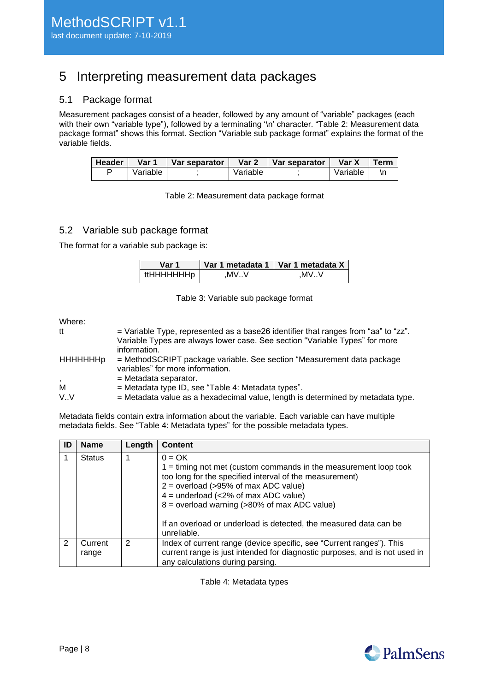# <span id="page-7-0"></span>5 Interpreting measurement data packages

# <span id="page-7-1"></span>5.1 Package format

Measurement packages consist of a header, followed by any amount of "variable" packages (each with their own "variable type"), followed by a terminating '\n' character. "Table 2: Measurement data [package format"](#page-7-3) shows this format. Section ["Variable sub package format"](#page-7-2) explains the format of the variable fields.

<span id="page-7-3"></span>

| Header | Var 1    | <b>I</b> Var separator l | Var 2    | Var separator | Var X    | <b>Term</b> |
|--------|----------|--------------------------|----------|---------------|----------|-------------|
|        | Variable |                          | Variable |               | Variable |             |

Table 2: Measurement data package format

# <span id="page-7-2"></span>5.2 Variable sub package format

The format for a variable sub package is:

| Var 1      |      | Var 1 metadata 1   Var 1 metadata X |  |
|------------|------|-------------------------------------|--|
| ttHHHHHHHp | .MVV | .MVV                                |  |

| Table 3: Variable sub package format |  |
|--------------------------------------|--|
|--------------------------------------|--|

Where:

| tt                       | $=$ Variable Type, represented as a base26 identifier that ranges from "aa" to "zz". |
|--------------------------|--------------------------------------------------------------------------------------|
|                          | Variable Types are always lower case. See section "Variable Types" for more          |
|                          | information.                                                                         |
| <b>HHHHHHHp</b>          | = MethodSCRIPT package variable. See section "Measurement data package               |
|                          | variables" for more information.                                                     |
| $\overline{\phantom{a}}$ | $=$ Metadata separator.                                                              |
| м                        | $=$ Metadata type ID, see "Table 4: Metadata types".                                 |
| V.V                      | = Metadata value as a hexadecimal value, length is determined by metadata type.      |

Metadata fields contain extra information about the variable. Each variable can have multiple metadata fields. See ["Table 4: Metadata types"](#page-7-4) for the possible metadata types.

<span id="page-7-4"></span>

| ID | <b>Name</b>      | Length | <b>Content</b>                                                                                                                                                                                                                                                                                                                                                      |
|----|------------------|--------|---------------------------------------------------------------------------------------------------------------------------------------------------------------------------------------------------------------------------------------------------------------------------------------------------------------------------------------------------------------------|
|    | <b>Status</b>    |        | $0 = OK$<br>$1 =$ timing not met (custom commands in the measurement loop took<br>too long for the specified interval of the measurement)<br>$2 =$ overload (>95% of max ADC value)<br>$4 =$ underload (<2% of max ADC value)<br>$8 =$ overload warning (>80% of max ADC value)<br>If an overload or underload is detected, the measured data can be<br>unreliable. |
| 2  | Current<br>range | 2      | Index of current range (device specific, see "Current ranges"). This<br>current range is just intended for diagnostic purposes, and is not used in<br>any calculations during parsing.                                                                                                                                                                              |

Table 4: Metadata types

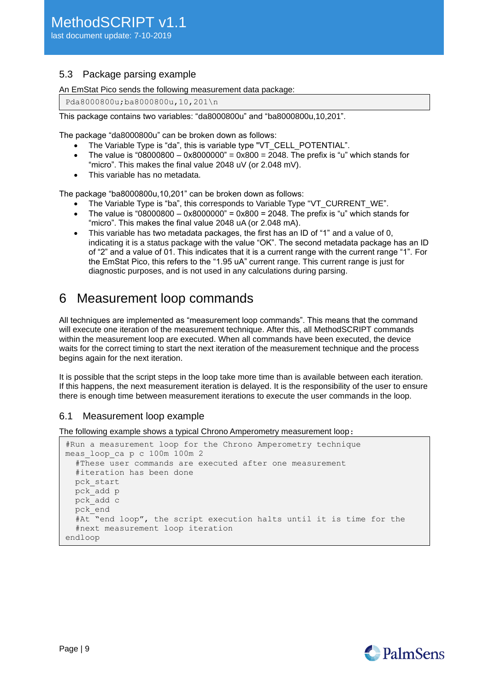# <span id="page-8-0"></span>5.3 Package parsing example

An EmStat Pico sends the following measurement data package:

Pda8000800u;ba8000800u,10,201\n

This package contains two variables: "da8000800u" and "ba8000800u,10,201".

The package "da8000800u" can be broken down as follows:

- The Variable Type is "da", this is variable type "VT\_CELL\_POTENTIAL".
- The value is "08000800 0x8000000" = 0x800 = 2048. The prefix is "u" which stands for "micro". This makes the final value 2048 uV (or 2.048 mV).
- This variable has no metadata.

The package "ba8000800u,10,201" can be broken down as follows:

- The Variable Type is "ba", this corresponds to Variable Type "VT\_CURRENT\_WE".
- The value is  $0.000800 0x8000000$ " = 0x800 = 2048. The prefix is "u" which stands for "micro". This makes the final value 2048 uA (or 2.048 mA).
- This variable has two metadata packages, the first has an ID of "1" and a value of 0, indicating it is a status package with the value "OK". The second metadata package has an ID of "2" and a value of 01. This indicates that it is a current range with the current range "1". For the EmStat Pico, this refers to the "1.95 uA" current range. This current range is just for diagnostic purposes, and is not used in any calculations during parsing.

# <span id="page-8-1"></span>6 Measurement loop commands

All techniques are implemented as "measurement loop commands". This means that the command will execute one iteration of the measurement technique. After this, all MethodSCRIPT commands within the measurement loop are executed. When all commands have been executed, the device waits for the correct timing to start the next iteration of the measurement technique and the process begins again for the next iteration.

It is possible that the script steps in the loop take more time than is available between each iteration. If this happens, the next measurement iteration is delayed. It is the responsibility of the user to ensure there is enough time between measurement iterations to execute the user commands in the loop.

# <span id="page-8-2"></span>6.1 Measurement loop example

The following example shows a typical Chrono Amperometry measurement loop:

```
#Run a measurement loop for the Chrono Amperometry technique
meas_loop_ca p c 100m 100m 2
   #These user commands are executed after one measurement
   #iteration has been done
  pck_start
  pck_add p
  pck_add c
  pck_end
   #At "end loop", the script execution halts until it is time for the
   #next measurement loop iteration
endloop
```
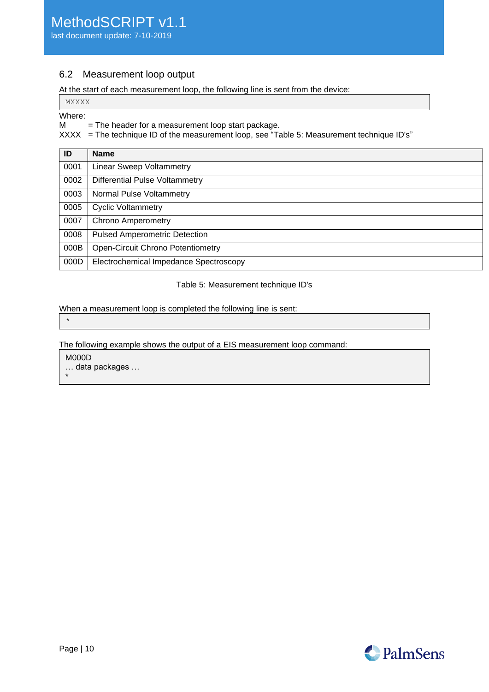# <span id="page-9-0"></span>6.2 Measurement loop output

At the start of each measurement loop, the following line is sent from the device:

#### MXXXX

#### Where:

 $M =$ The header for a measurement loop start package.

 $XXX =$  The technique ID of the measurement loop, see "Table 5: [Measurement technique ID's"](#page-9-1)

| ID   | <b>Name</b>                              |
|------|------------------------------------------|
| 0001 | <b>Linear Sweep Voltammetry</b>          |
| 0002 | <b>Differential Pulse Voltammetry</b>    |
| 0003 | Normal Pulse Voltammetry                 |
| 0005 | <b>Cyclic Voltammetry</b>                |
| 0007 | <b>Chrono Amperometry</b>                |
| 0008 | <b>Pulsed Amperometric Detection</b>     |
| 000B | <b>Open-Circuit Chrono Potentiometry</b> |
| 000D | Electrochemical Impedance Spectroscopy   |

#### Table 5: Measurement technique ID's

<span id="page-9-1"></span>When a measurement loop is completed the following line is sent:

\*

The following example shows the output of a EIS measurement loop command:

M000D

… data packages …

\*

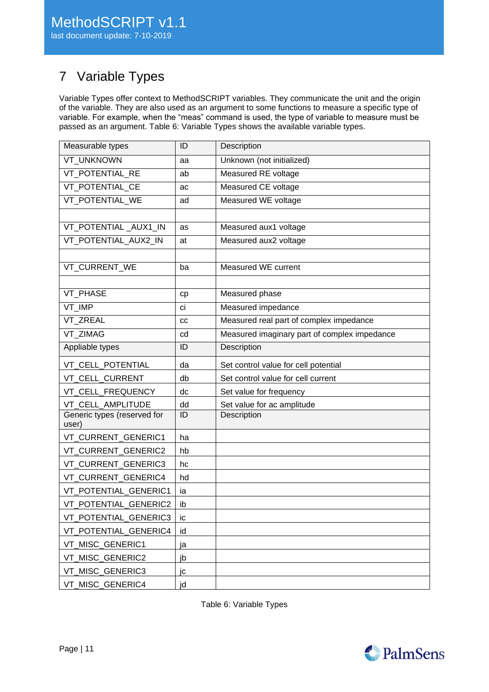# <span id="page-10-0"></span>7 Variable Types

Variable Types offer context to MethodSCRIPT variables. They communicate the unit and the origin of the variable. They are also used as an argument to some functions to measure a specific type of variable. For example, when the "meas" command is used, the type of variable to measure must be passed as an argument. [Table 6: Variable Types](#page-10-1) shows the available variable types.

| Measurable types                     | ID | Description                                  |
|--------------------------------------|----|----------------------------------------------|
| <b>VT UNKNOWN</b>                    | aa | Unknown (not initialized)                    |
| <b>VT POTENTIAL RE</b>               | ab | Measured RE voltage                          |
| VT_POTENTIAL_CE                      | ac | Measured CE voltage                          |
| VT_POTENTIAL_WE                      | ad | Measured WE voltage                          |
|                                      |    |                                              |
| VT POTENTIAL AUX1 IN                 | as | Measured aux1 voltage                        |
| VT_POTENTIAL_AUX2_IN                 | at | Measured aux2 voltage                        |
|                                      |    |                                              |
| VT_CURRENT_WE                        | ba | Measured WE current                          |
|                                      |    |                                              |
| VT_PHASE                             | cp | Measured phase                               |
| VT_IMP                               | ci | Measured impedance                           |
| <b>VT ZREAL</b>                      | CС | Measured real part of complex impedance      |
| <b>VT ZIMAG</b>                      | cd | Measured imaginary part of complex impedance |
| Appliable types                      | ID | Description                                  |
| VT CELL POTENTIAL                    | da | Set control value for cell potential         |
| <b>VT CELL CURRENT</b>               | db | Set control value for cell current           |
| VT_CELL_FREQUENCY                    | dc | Set value for frequency                      |
| <b>VT CELL AMPLITUDE</b>             | dd | Set value for ac amplitude                   |
| Generic types (reserved for<br>user) | ID | Description                                  |
| VT_CURRENT_GENERIC1                  | ha |                                              |
| VT_CURRENT_GENERIC2                  | hb |                                              |
| VT_CURRENT_GENERIC3                  | hc |                                              |
| VT_CURRENT_GENERIC4                  | hd |                                              |
| VT_POTENTIAL_GENERIC1                | ia |                                              |
| <b>VT POTENTIAL GENERIC2</b>         | ib |                                              |
| VT_POTENTIAL_GENERIC3                | ic |                                              |
| VT_POTENTIAL_GENERIC4                | id |                                              |
| VT_MISC_GENERIC1                     | ja |                                              |
| VT_MISC_GENERIC2                     | jb |                                              |
| VT_MISC_GENERIC3                     | jc |                                              |
| VT_MISC_GENERIC4                     | jd |                                              |

<span id="page-10-1"></span>Table 6: Variable Types

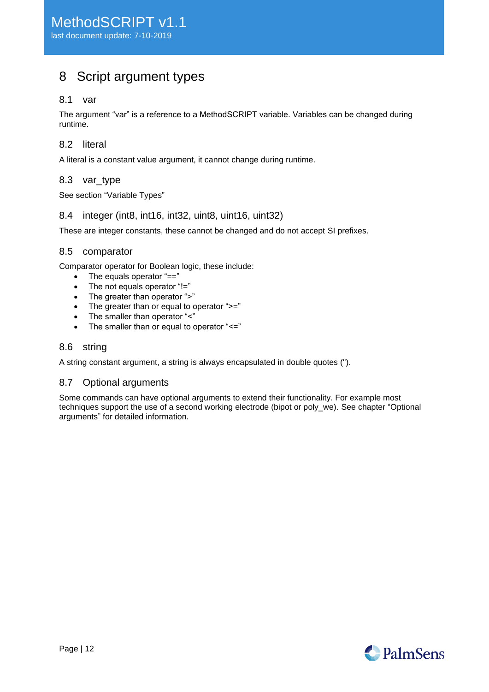# <span id="page-11-0"></span>8 Script argument types

## <span id="page-11-1"></span>8.1 var

The argument "var" is a reference to a MethodSCRIPT variable. Variables can be changed during runtime.

## <span id="page-11-2"></span>8.2 literal

<span id="page-11-3"></span>A literal is a constant value argument, it cannot change during runtime.

## 8.3 var\_type

<span id="page-11-4"></span>See section ["Variable Types"](#page-10-0)

## 8.4 integer (int8, int16, int32, uint8, uint16, uint32)

<span id="page-11-5"></span>These are integer constants, these cannot be changed and do not accept SI prefixes.

## 8.5 comparator

Comparator operator for Boolean logic, these include:

- The equals operator "=="
- The not equals operator "!="
- The greater than operator ">"
- The greater than or equal to operator ">="
- The smaller than operator "<"
- The smaller than or equal to operator "<="

## <span id="page-11-6"></span>8.6 string

<span id="page-11-7"></span>A string constant argument, a string is always encapsulated in double quotes (").

## 8.7 Optional arguments

<span id="page-11-8"></span>Some commands can have optional arguments to extend their functionality. For example most techniques support the use of a second working electrode (bipot or poly\_we). See chapter ["Optional](#page-12-0)  [arguments"](#page-12-0) for detailed information.

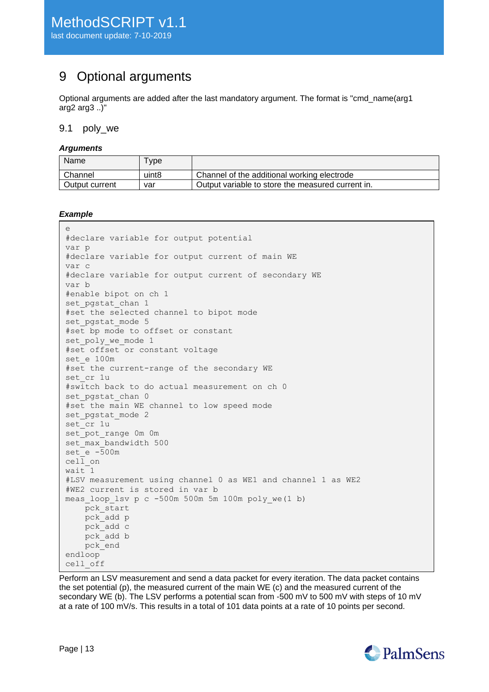# <span id="page-12-0"></span>9 Optional arguments

Optional arguments are added after the last mandatory argument. The format is "cmd\_name(arg1 arg2 arg3 ..)"

## <span id="page-12-1"></span>9.1 poly\_we

#### *Arguments*

| Name           | <b>vpe</b> |                                                   |
|----------------|------------|---------------------------------------------------|
| Channel        | uint8      | Channel of the additional working electrode       |
| Output current | var        | Output variable to store the measured current in. |

#### *Example*

```
e
#declare variable for output potential
var p
#declare variable for output current of main WE
var c
#declare variable for output current of secondary WE
var b
#enable bipot on ch 1
set pgstat chan 1
#set the selected channel to bipot mode
set pgstat mode 5
#set bp mode to offset or constant
set poly we mode 1
#set offset or constant voltage
set_e 100m
#set the current-range of the secondary WE
set cr 1u
#switch back to do actual measurement on ch 0
set pgstat chan 0
#set the main WE channel to low speed mode
set pgstat mode 2
set cr 1u
set pot range 0m 0m
set_max_bandwidth 500
set_e -500m
cell_on
wait 1
#LSV measurement using channel 0 as WE1 and channel 1 as WE2
#WE2 current is stored in var b
meas loop lsv p c -500m 500m 5m 100m poly we(1 b)
   pck start
    pck_add p 
    pck_add c
    pck_add b
    pck_end
endloop
cell_off
```
Perform an LSV measurement and send a data packet for every iteration. The data packet contains the set potential (p), the measured current of the main WE (c) and the measured current of the secondary WE (b). The LSV performs a potential scan from -500 mV to 500 mV with steps of 10 mV at a rate of 100 mV/s. This results in a total of 101 data points at a rate of 10 points per second.

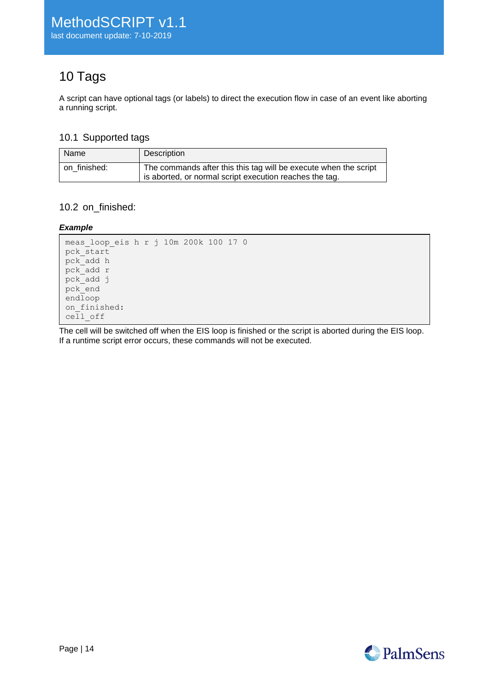# <span id="page-13-0"></span>10 Tags

A script can have optional tags (or labels) to direct the execution flow in case of an event like aborting a running script.

# <span id="page-13-1"></span>10.1 Supported tags

| Name           | Description                                                                                                                 |
|----------------|-----------------------------------------------------------------------------------------------------------------------------|
| I on finished: | The commands after this this tag will be execute when the script<br>is aborted, or normal script execution reaches the tag. |

# <span id="page-13-2"></span>10.2 on\_finished:

## *Example*

```
meas_loop_eis h r j 10m 200k 100 17 0
pck start
pck_add h
pck_add r
pck_add j
pck_end
endloop
on finished:
cell_off
```
The cell will be switched off when the EIS loop is finished or the script is aborted during the EIS loop. If a runtime script error occurs, these commands will not be executed.

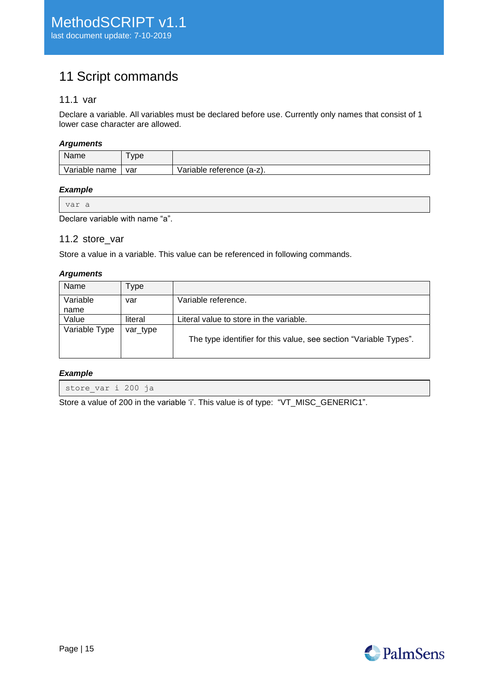# <span id="page-14-0"></span>11 Script commands

# <span id="page-14-1"></span>11.1 var

Declare a variable. All variables must be declared before use. Currently only names that consist of 1 lower case character are allowed.

#### *Arguments*

| Name             | ype |                           |
|------------------|-----|---------------------------|
| Variable<br>name | var | Variable reference (a-z). |

#### *Example*

| var a |  |
|-------|--|
|-------|--|

<span id="page-14-2"></span>Declare variable with name "a".

## 11.2 store\_var

Store a value in a variable. This value can be referenced in following commands.

#### *Arguments*

| Name             | ype      |                                                                   |
|------------------|----------|-------------------------------------------------------------------|
| Variable<br>name | var      | Variable reference.                                               |
|                  |          |                                                                   |
| Value            | literal  | Literal value to store in the variable.                           |
| Variable Type    | var_type | The type identifier for this value, see section "Variable Types". |

#### *Example*

store\_var i 200 ja

Store a value of 200 in the variable 'i'. This value is of type: "VT\_MISC\_GENERIC1".

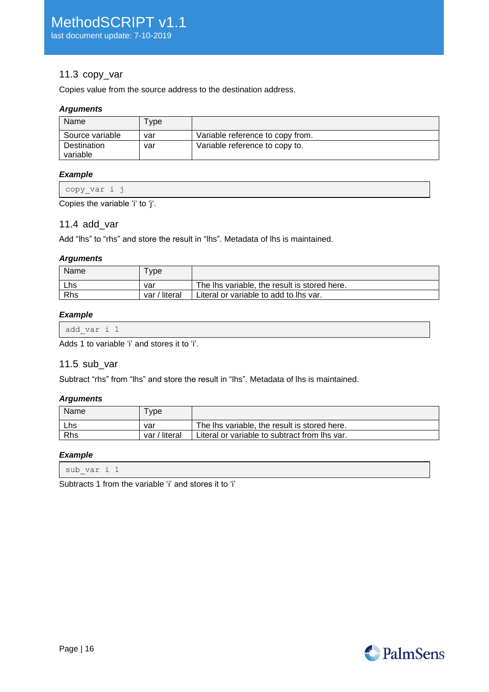## <span id="page-15-0"></span>11.3 copy\_var

Copies value from the source address to the destination address.

### *Arguments*

| Name                    | "ype |                                  |
|-------------------------|------|----------------------------------|
| Source variable         | var  | Variable reference to copy from. |
| Destination<br>variable | var  | Variable reference to copy to.   |

#### *Example*

| $\overline{\phantom{0}}$<br>wouy var<br>. <u>.</u> |
|----------------------------------------------------|
|----------------------------------------------------|

<span id="page-15-1"></span>Copies the variable 'i' to 'j'.

## 11.4 add\_var

Add "lhs" to "rhs" and store the result in "lhs". Metadata of lhs is maintained.

## *Arguments*

| Name | vpe           |                                              |
|------|---------------|----------------------------------------------|
| Lhs  | var           | The lhs variable, the result is stored here. |
| Rhs  | var / literal | Literal or variable to add to lhs var.       |

## *Example*

| add var i 1 |  |          |  |  |
|-------------|--|----------|--|--|
| .           |  | $\cdots$ |  |  |

<span id="page-15-2"></span>Adds 1 to variable 'i' and stores it to 'i'.

## 11.5 sub\_var

Subtract "rhs" from "lhs" and store the result in "lhs". Metadata of lhs is maintained.

#### *Arguments*

| Name | vpe           |                                               |
|------|---------------|-----------------------------------------------|
| Lhs  | var           | The lhs variable, the result is stored here.  |
| Rhs  | var / literal | Literal or variable to subtract from lhs var. |

### *Example*

Subtracts 1 from the variable 'i' and stores it to 'i'

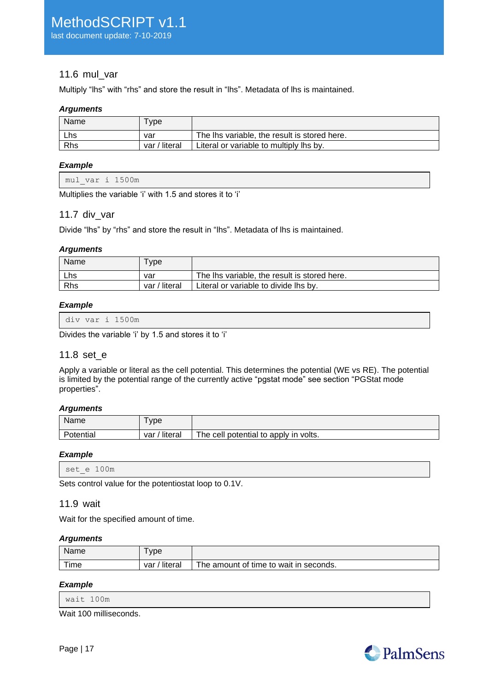# <span id="page-16-0"></span>11.6 mul\_var

Multiply "lhs" with "rhs" and store the result in "lhs". Metadata of lhs is maintained.

## *Arguments*

| Name | vpe           |                                              |
|------|---------------|----------------------------------------------|
| Lhs  | var           | The lhs variable, the result is stored here. |
| Rhs  | var / literal | Literal or variable to multiply lhs by.      |

## *Example*

|  | mul var i 1500m |
|--|-----------------|
|  |                 |

<span id="page-16-1"></span>Multiplies the variable 'i' with 1.5 and stores it to 'i'

## 11.7 div\_var

Divide "lhs" by "rhs" and store the result in "lhs". Metadata of lhs is maintained.

#### *Arguments*

| Name | vpe           |                                              |
|------|---------------|----------------------------------------------|
| Lhs  | var           | The lhs variable, the result is stored here. |
| Rhs  | var / literal | Literal or variable to divide lhs by.        |

#### *Example*

|--|

<span id="page-16-2"></span>Divides the variable 'i' by 1.5 and stores it to 'i'

## 11.8 set\_e

Apply a variable or literal as the cell potential. This determines the potential (WE vs RE). The potential is limited by the potential range of the currently active "pgstat mode" see section ["PGStat mode](#page-38-1)  [properties"](#page-38-1).

#### *Arguments*

| Name      | <b>vpe</b>       |                                       |
|-----------|------------------|---------------------------------------|
| Potential | ' literal<br>var | The cell potential to apply in volts. |

## *Example*

```
set_e 100m
```
<span id="page-16-3"></span>Sets control value for the potentiostat loop to 0.1V.

## 11.9 wait

Wait for the specified amount of time.

#### *Arguments*

| Name | vpe            |                                        |
|------|----------------|----------------------------------------|
| Time | literal<br>var | The amount of time to wait in seconds. |

#### *Example*

Wait 100 milliseconds.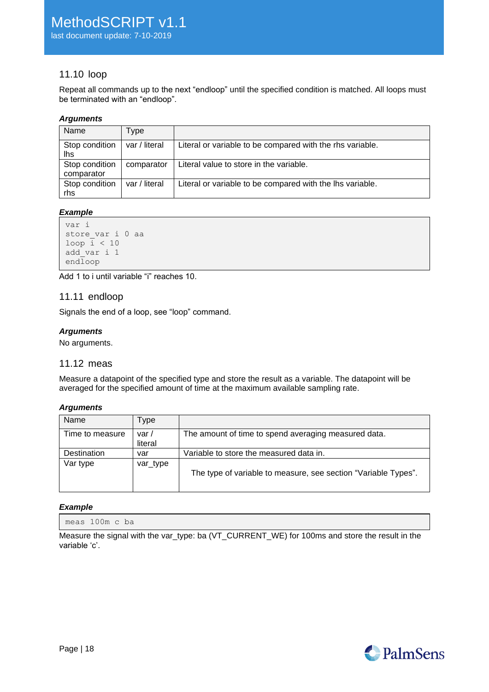# <span id="page-17-0"></span>11.10 loop

Repeat all commands up to the next "endloop" until the specified condition is matched. All loops must be terminated with an "endloop".

### *Arguments*

| Name                         | i ype         |                                                           |
|------------------------------|---------------|-----------------------------------------------------------|
| Stop condition<br>lhs        | var / literal | Literal or variable to be compared with the rhs variable. |
| Stop condition<br>comparator | comparator    | Literal value to store in the variable.                   |
| Stop condition<br>rhs        | var / literal | Literal or variable to be compared with the lhs variable. |

## *Example*

```
var i
store var i 0 aa
loop \overline{i} < 10
add_var i 1
endloop
```
<span id="page-17-1"></span>Add 1 to i until variable "i" reaches 10.

## 11.11 endloop

Signals the end of a loop, see ["loop"](#page-17-0) command.

## *Arguments*

<span id="page-17-2"></span>No arguments.

# 11.12 meas

Measure a datapoint of the specified type and store the result as a variable. The datapoint will be averaged for the specified amount of time at the maximum available sampling rate.

#### *Arguments*

| Name            | Type             |                                                                |
|-----------------|------------------|----------------------------------------------------------------|
| Time to measure | var /<br>literal | The amount of time to spend averaging measured data.           |
| Destination     | var              | Variable to store the measured data in.                        |
| Var type        | var_type         | The type of variable to measure, see section "Variable Types". |

#### *Example*

meas 100m c ba

Measure the signal with the var\_type: ba (VT\_CURRENT\_WE) for 100ms and store the result in the variable 'c'.

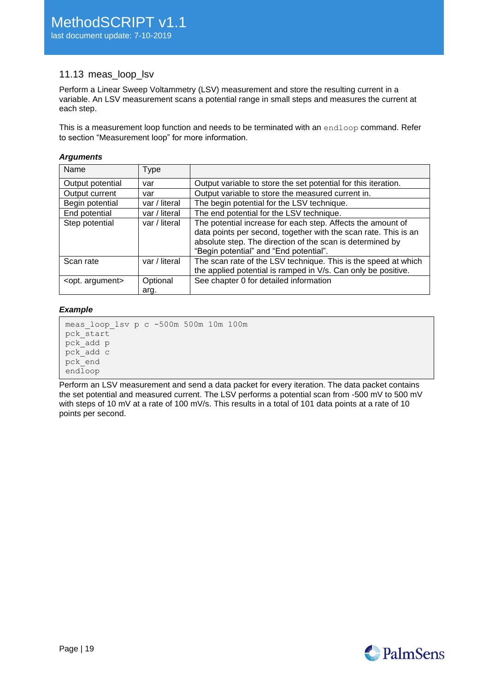## <span id="page-18-0"></span>11.13 meas loop lsv

Perform a Linear Sweep Voltammetry (LSV) measurement and store the resulting current in a variable. An LSV measurement scans a potential range in small steps and measures the current at each step.

This is a measurement loop function and needs to be terminated with an endloop command. Refer to section ["Measurement loop"](#page-8-1) for more information.

#### *Arguments*

| Name                      | <b>Type</b>      |                                                                                                                                                                                                                                       |
|---------------------------|------------------|---------------------------------------------------------------------------------------------------------------------------------------------------------------------------------------------------------------------------------------|
| Output potential          | var              | Output variable to store the set potential for this iteration.                                                                                                                                                                        |
| Output current            | var              | Output variable to store the measured current in.                                                                                                                                                                                     |
| Begin potential           | var / literal    | The begin potential for the LSV technique.                                                                                                                                                                                            |
| End potential             | var / literal    | The end potential for the LSV technique.                                                                                                                                                                                              |
| Step potential            | var / literal    | The potential increase for each step. Affects the amount of<br>data points per second, together with the scan rate. This is an<br>absolute step. The direction of the scan is determined by<br>"Begin potential" and "End potential". |
| Scan rate                 | var / literal    | The scan rate of the LSV technique. This is the speed at which<br>the applied potential is ramped in V/s. Can only be positive.                                                                                                       |
| <opt. argument=""></opt.> | Optional<br>arg. | See chapter 0 for detailed information                                                                                                                                                                                                |

#### *Example*

```
meas_loop_lsv p c -500m 500m 10m 100m
pck_start
pck_add p
pck_add c
pck_end
endloop
```
Perform an LSV measurement and send a data packet for every iteration. The data packet contains the set potential and measured current. The LSV performs a potential scan from -500 mV to 500 mV with steps of 10 mV at a rate of 100 mV/s. This results in a total of 101 data points at a rate of 10 points per second.

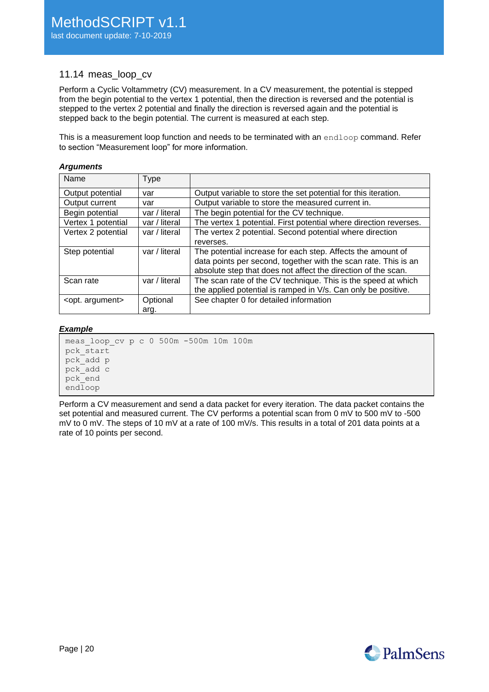## <span id="page-19-0"></span>11.14 meas loop cv

Perform a Cyclic Voltammetry (CV) measurement. In a CV measurement, the potential is stepped from the begin potential to the vertex 1 potential, then the direction is reversed and the potential is stepped to the vertex 2 potential and finally the direction is reversed again and the potential is stepped back to the begin potential. The current is measured at each step.

This is a measurement loop function and needs to be terminated with an endloop command. Refer to section ["Measurement loop"](#page-8-1) for more information.

#### *Arguments*

| Name                      | Type          |                                                                   |
|---------------------------|---------------|-------------------------------------------------------------------|
| Output potential          | var           | Output variable to store the set potential for this iteration.    |
| Output current            | var           | Output variable to store the measured current in.                 |
| Begin potential           | var / literal | The begin potential for the CV technique.                         |
| Vertex 1 potential        | var / literal | The vertex 1 potential. First potential where direction reverses. |
| Vertex 2 potential        | var / literal | The vertex 2 potential. Second potential where direction          |
|                           |               | reverses.                                                         |
| Step potential            | var / literal | The potential increase for each step. Affects the amount of       |
|                           |               | data points per second, together with the scan rate. This is an   |
|                           |               | absolute step that does not affect the direction of the scan.     |
| Scan rate                 | var / literal | The scan rate of the CV technique. This is the speed at which     |
|                           |               | the applied potential is ramped in V/s. Can only be positive.     |
| <opt. argument=""></opt.> | Optional      | See chapter 0 for detailed information                            |
|                           | arg.          |                                                                   |

#### *Example*

meas\_loop\_cv p c 0 500m -500m 10m 100m pck\_start pck\_add p pck\_add c pck\_end endloop

Perform a CV measurement and send a data packet for every iteration. The data packet contains the set potential and measured current. The CV performs a potential scan from 0 mV to 500 mV to -500 mV to 0 mV. The steps of 10 mV at a rate of 100 mV/s. This results in a total of 201 data points at a rate of 10 points per second.

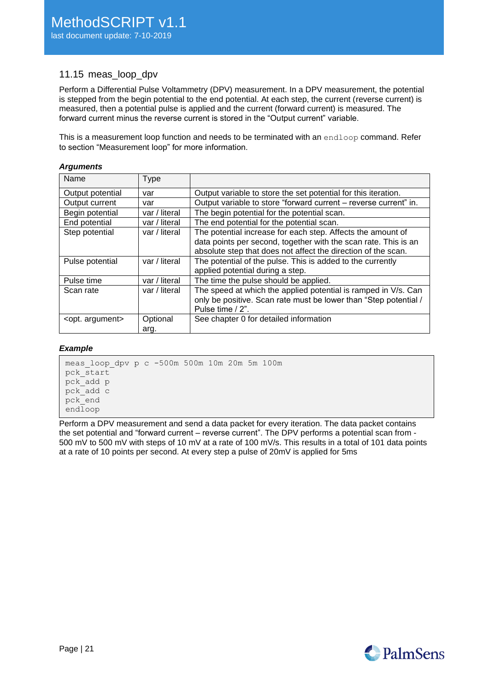# <span id="page-20-0"></span>11.15 meas\_loop\_dpv

Perform a Differential Pulse Voltammetry (DPV) measurement. In a DPV measurement, the potential is stepped from the begin potential to the end potential. At each step, the current (reverse current) is measured, then a potential pulse is applied and the current (forward current) is measured. The forward current minus the reverse current is stored in the "Output current" variable.

This is a measurement loop function and needs to be terminated with an endloop command. Refer to section ["Measurement loop"](#page-8-1) for more information.

#### *Arguments*

| Name                      | Type             |                                                                                                                                                        |
|---------------------------|------------------|--------------------------------------------------------------------------------------------------------------------------------------------------------|
| Output potential          | var              | Output variable to store the set potential for this iteration.                                                                                         |
| Output current            | var              | Output variable to store "forward current – reverse current" in.                                                                                       |
| Begin potential           | var / literal    | The begin potential for the potential scan.                                                                                                            |
| End potential             | var / literal    | The end potential for the potential scan.                                                                                                              |
| Step potential            | var / literal    | The potential increase for each step. Affects the amount of<br>data points per second, together with the scan rate. This is an                         |
|                           |                  | absolute step that does not affect the direction of the scan.                                                                                          |
| Pulse potential           | var / literal    | The potential of the pulse. This is added to the currently<br>applied potential during a step.                                                         |
| Pulse time                | var / literal    | The time the pulse should be applied.                                                                                                                  |
| Scan rate                 | var / literal    | The speed at which the applied potential is ramped in V/s. Can<br>only be positive. Scan rate must be lower than "Step potential /<br>Pulse time / 2". |
| <opt. argument=""></opt.> | Optional<br>arg. | See chapter 0 for detailed information                                                                                                                 |

#### *Example*

meas\_loop\_dpv p c -500m 500m 10m 20m 5m 100m pck start pck\_add p pck\_add c pck\_end endloop

Perform a DPV measurement and send a data packet for every iteration. The data packet contains the set potential and "forward current – reverse current". The DPV performs a potential scan from - 500 mV to 500 mV with steps of 10 mV at a rate of 100 mV/s. This results in a total of 101 data points at a rate of 10 points per second. At every step a pulse of 20mV is applied for 5ms

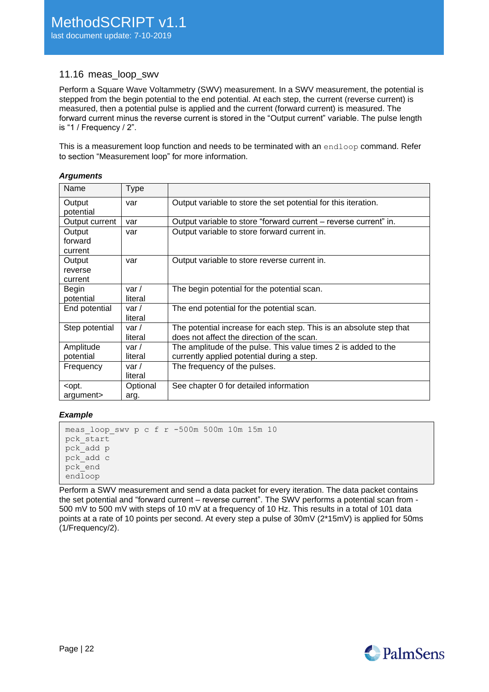## <span id="page-21-0"></span>11.16 meas\_loop\_swv

Perform a Square Wave Voltammetry (SWV) measurement. In a SWV measurement, the potential is stepped from the begin potential to the end potential. At each step, the current (reverse current) is measured, then a potential pulse is applied and the current (forward current) is measured. The forward current minus the reverse current is stored in the "Output current" variable. The pulse length is "1 / Frequency / 2".

This is a measurement loop function and needs to be terminated with an endloop command. Refer to section ["Measurement loop"](#page-8-1) for more information.

#### *Arguments*

| Name                                                                                  | Type           |                                                                     |
|---------------------------------------------------------------------------------------|----------------|---------------------------------------------------------------------|
| Output                                                                                | var            | Output variable to store the set potential for this iteration.      |
| potential                                                                             |                |                                                                     |
| Output current                                                                        | var            | Output variable to store "forward current – reverse current" in.    |
| Output                                                                                | var            | Output variable to store forward current in.                        |
| forward                                                                               |                |                                                                     |
| current                                                                               |                |                                                                     |
| Output                                                                                | var            | Output variable to store reverse current in.                        |
| reverse                                                                               |                |                                                                     |
| current                                                                               |                |                                                                     |
| Begin                                                                                 | var /          | The begin potential for the potential scan.                         |
| potential                                                                             | literal        |                                                                     |
| End potential                                                                         | var $\prime$   | The end potential for the potential scan.                           |
|                                                                                       | literal        |                                                                     |
| Step potential                                                                        | var $\prime$   | The potential increase for each step. This is an absolute step that |
|                                                                                       | literal        | does not affect the direction of the scan.                          |
| Amplitude                                                                             | var /          | The amplitude of the pulse. This value times 2 is added to the      |
| potential                                                                             | literal        | currently applied potential during a step.                          |
| Frequency                                                                             | var $\sqrt{ }$ | The frequency of the pulses.                                        |
|                                                                                       | literal        |                                                                     |
| <opt.< td=""><td>Optional</td><td>See chapter 0 for detailed information</td></opt.<> | Optional       | See chapter 0 for detailed information                              |
| argument>                                                                             | arg.           |                                                                     |

#### *Example*

```
meas_loop_swv p c f r -500m 500m 10m 15m 10
pck_start
pck_add p
pck_add c
pck_end
endloop
```
Perform a SWV measurement and send a data packet for every iteration. The data packet contains the set potential and "forward current – reverse current". The SWV performs a potential scan from - 500 mV to 500 mV with steps of 10 mV at a frequency of 10 Hz. This results in a total of 101 data points at a rate of 10 points per second. At every step a pulse of 30mV (2\*15mV) is applied for 50ms (1/Frequency/2).

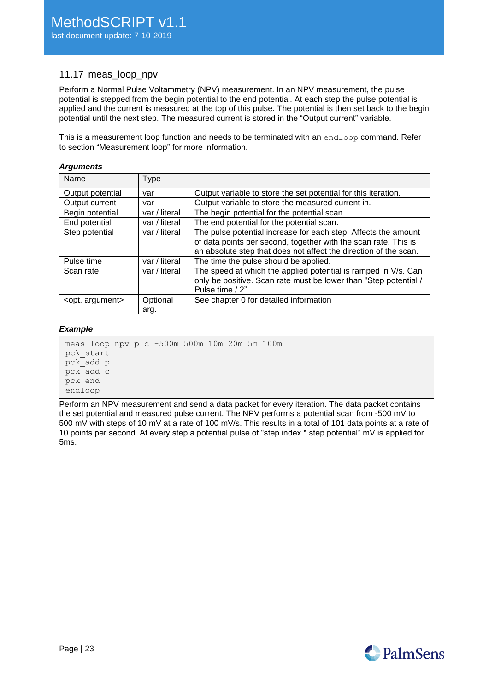# <span id="page-22-0"></span>11.17 meas loop npv

Perform a Normal Pulse Voltammetry (NPV) measurement. In an NPV measurement, the pulse potential is stepped from the begin potential to the end potential. At each step the pulse potential is applied and the current is measured at the top of this pulse. The potential is then set back to the begin potential until the next step. The measured current is stored in the "Output current" variable.

This is a measurement loop function and needs to be terminated with an endloop command. Refer to section ["Measurement loop"](#page-8-1) for more information.

#### *Arguments*

| Name                      | Type             |                                                                                                                                                                                                       |
|---------------------------|------------------|-------------------------------------------------------------------------------------------------------------------------------------------------------------------------------------------------------|
| Output potential          | var              | Output variable to store the set potential for this iteration.                                                                                                                                        |
| Output current            | var              | Output variable to store the measured current in.                                                                                                                                                     |
| Begin potential           | var / literal    | The begin potential for the potential scan.                                                                                                                                                           |
| End potential             | var / literal    | The end potential for the potential scan.                                                                                                                                                             |
| Step potential            | var / literal    | The pulse potential increase for each step. Affects the amount<br>of data points per second, together with the scan rate. This is<br>an absolute step that does not affect the direction of the scan. |
| Pulse time                | var / literal    | The time the pulse should be applied.                                                                                                                                                                 |
| Scan rate                 | var / literal    | The speed at which the applied potential is ramped in V/s. Can<br>only be positive. Scan rate must be lower than "Step potential /<br>Pulse time / 2".                                                |
| <opt. argument=""></opt.> | Optional<br>arg. | See chapter 0 for detailed information                                                                                                                                                                |

#### *Example*

meas\_loop\_npv p c -500m 500m 10m 20m 5m 100m pck\_start pck\_add p pck\_add c pck\_end endloop

Perform an NPV measurement and send a data packet for every iteration. The data packet contains the set potential and measured pulse current. The NPV performs a potential scan from -500 mV to 500 mV with steps of 10 mV at a rate of 100 mV/s. This results in a total of 101 data points at a rate of 10 points per second. At every step a potential pulse of "step index \* step potential" mV is applied for 5ms.

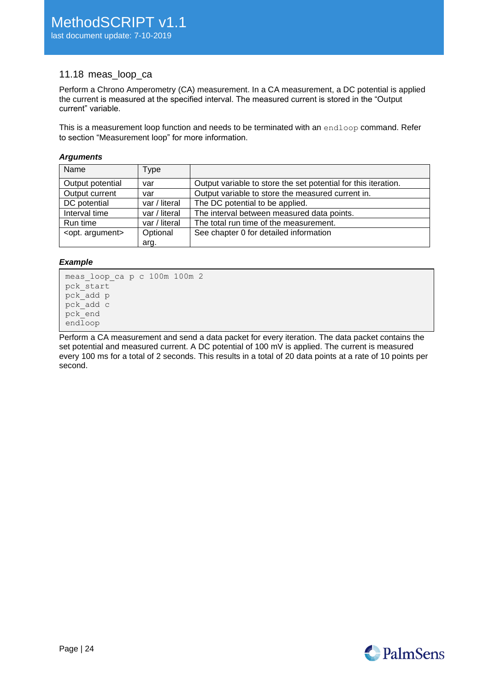# <span id="page-23-0"></span>11.18 meas\_loop\_ca

Perform a Chrono Amperometry (CA) measurement. In a CA measurement, a DC potential is applied the current is measured at the specified interval. The measured current is stored in the "Output current" variable.

This is a measurement loop function and needs to be terminated with an endloop command. Refer to section ["Measurement loop"](#page-8-1) for more information.

#### *Arguments*

| Name                      | Type          |                                                                |
|---------------------------|---------------|----------------------------------------------------------------|
| Output potential          | var           | Output variable to store the set potential for this iteration. |
| Output current            | var           | Output variable to store the measured current in.              |
| DC potential              | var / literal | The DC potential to be applied.                                |
| Interval time             | var / literal | The interval between measured data points.                     |
| Run time                  | var / literal | The total run time of the measurement.                         |
| <opt. argument=""></opt.> | Optional      | See chapter 0 for detailed information                         |
|                           | arg.          |                                                                |

#### *Example*

```
meas_loop_ca p c 100m 100m 2
pck_start
pck_add p
pck_add c
pck_end
endloop
```
Perform a CA measurement and send a data packet for every iteration. The data packet contains the set potential and measured current. A DC potential of 100 mV is applied. The current is measured every 100 ms for a total of 2 seconds. This results in a total of 20 data points at a rate of 10 points per second.

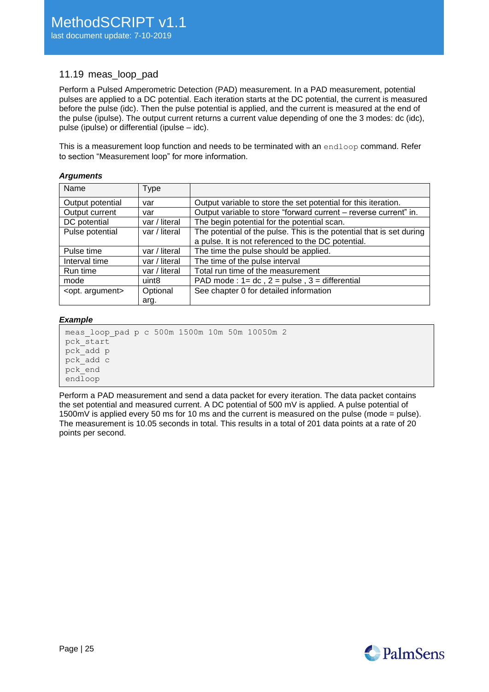# <span id="page-24-0"></span>11.19 meas loop pad

Perform a Pulsed Amperometric Detection (PAD) measurement. In a PAD measurement, potential pulses are applied to a DC potential. Each iteration starts at the DC potential, the current is measured before the pulse (idc). Then the pulse potential is applied, and the current is measured at the end of the pulse (ipulse). The output current returns a current value depending of one the 3 modes: dc (idc), pulse (ipulse) or differential (ipulse – idc).

This is a measurement loop function and needs to be terminated with an endloop command. Refer to section ["Measurement loop"](#page-8-1) for more information.

#### *Arguments*

| Name                      | <b>Type</b>       |                                                                      |
|---------------------------|-------------------|----------------------------------------------------------------------|
| Output potential          | var               | Output variable to store the set potential for this iteration.       |
| Output current            | var               | Output variable to store "forward current - reverse current" in.     |
| DC potential              | var / literal     | The begin potential for the potential scan.                          |
| Pulse potential           | var / literal     | The potential of the pulse. This is the potential that is set during |
|                           |                   | a pulse. It is not referenced to the DC potential.                   |
| Pulse time                | var / literal     | The time the pulse should be applied.                                |
| Interval time             | var / literal     | The time of the pulse interval                                       |
| Run time                  | var / literal     | Total run time of the measurement                                    |
| mode                      | uint <sub>8</sub> | PAD mode: $1 = dc$ , $2 = pulse$ , $3 = differential$                |
| <opt. argument=""></opt.> | Optional          | See chapter 0 for detailed information                               |
|                           | arg.              |                                                                      |

#### *Example*

meas\_loop\_pad p c 500m 1500m 10m 50m 10050m 2 pck\_start pck\_add p pck\_add c pck\_end endloop

Perform a PAD measurement and send a data packet for every iteration. The data packet contains the set potential and measured current. A DC potential of 500 mV is applied. A pulse potential of 1500mV is applied every 50 ms for 10 ms and the current is measured on the pulse (mode = pulse). The measurement is 10.05 seconds in total. This results in a total of 201 data points at a rate of 20 points per second.

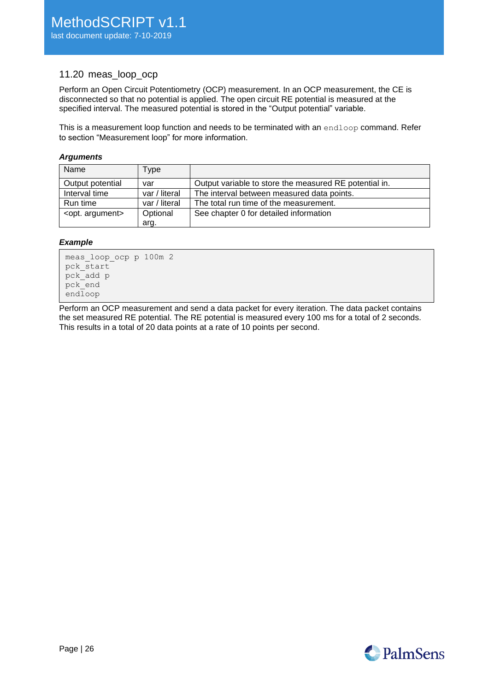## <span id="page-25-0"></span>11.20 meas\_loop\_ocp

Perform an Open Circuit Potentiometry (OCP) measurement. In an OCP measurement, the CE is disconnected so that no potential is applied. The open circuit RE potential is measured at the specified interval. The measured potential is stored in the "Output potential" variable.

This is a measurement loop function and needs to be terminated with an endloop command. Refer to section ["Measurement loop"](#page-8-1) for more information.

#### *Arguments*

| Name                      | Type          |                                                        |
|---------------------------|---------------|--------------------------------------------------------|
| Output potential          | var           | Output variable to store the measured RE potential in. |
| Interval time             | var / literal | The interval between measured data points.             |
| Run time                  | var / literal | The total run time of the measurement.                 |
| <opt. argument=""></opt.> | Optional      | See chapter 0 for detailed information                 |
|                           | arg.          |                                                        |

#### *Example*

```
meas_loop_ocp p 100m 2
pck_start
pck_add p
pck_end
endloop
```
Perform an OCP measurement and send a data packet for every iteration. The data packet contains the set measured RE potential. The RE potential is measured every 100 ms for a total of 2 seconds. This results in a total of 20 data points at a rate of 10 points per second.

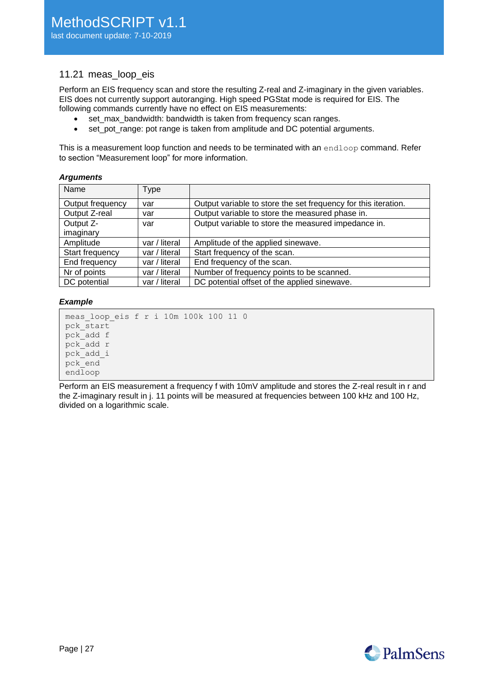## <span id="page-26-0"></span>11.21 meas loop eis

Perform an EIS frequency scan and store the resulting Z-real and Z-imaginary in the given variables. EIS does not currently support autoranging. High speed PGStat mode is required for EIS. The following commands currently have no effect on EIS measurements:

- set\_max\_bandwidth: bandwidth is taken from frequency scan ranges.
- set pot range: pot range is taken from amplitude and DC potential arguments.

This is a measurement loop function and needs to be terminated with an endloop command. Refer to section ["Measurement loop"](#page-8-1) for more information.

#### *Arguments*

| Name             | Type          |                                                                |
|------------------|---------------|----------------------------------------------------------------|
| Output frequency | var           | Output variable to store the set frequency for this iteration. |
| Output Z-real    | var           | Output variable to store the measured phase in.                |
| Output Z-        | var           | Output variable to store the measured impedance in.            |
| imaginary        |               |                                                                |
| Amplitude        | var / literal | Amplitude of the applied sinewave.                             |
| Start frequency  | var / literal | Start frequency of the scan.                                   |
| End frequency    | var / literal | End frequency of the scan.                                     |
| Nr of points     | var / literal | Number of frequency points to be scanned.                      |
| DC potential     | var / literal | DC potential offset of the applied sinewave.                   |

#### *Example*

```
meas_loop_eis f r i 10m 100k 100 11 0
pck_start
pck_add f
pck_add r
pck_add_i
pck_end
endloop
```
Perform an EIS measurement a frequency f with 10mV amplitude and stores the Z-real result in r and the Z-imaginary result in j. 11 points will be measured at frequencies between 100 kHz and 100 Hz, divided on a logarithmic scale.

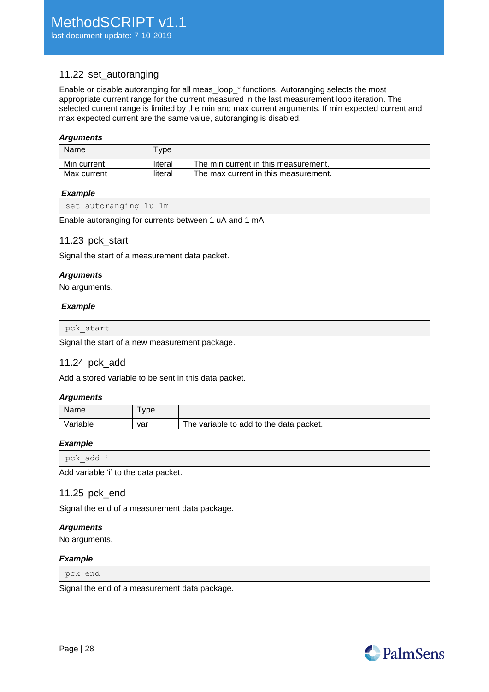# <span id="page-27-0"></span>11.22 set\_autoranging

Enable or disable autoranging for all meas\_loop\_\* functions. Autoranging selects the most appropriate current range for the current measured in the last measurement loop iteration. The selected current range is limited by the min and max current arguments. If min expected current and max expected current are the same value, autoranging is disabled.

### *Arguments*

| Name        | <b>vpe</b> |                                      |
|-------------|------------|--------------------------------------|
| Min current | literal    | The min current in this measurement. |
| Max current | literal    | The max current in this measurement. |

#### *Example*

<span id="page-27-1"></span>Enable autoranging for currents between 1 uA and 1 mA.

## 11.23 pck\_start

Signal the start of a measurement data packet.

#### *Arguments*

No arguments.

#### *Example*

pck\_start

<span id="page-27-2"></span>Signal the start of a new measurement package.

## 11.24 pck\_add

Add a stored variable to be sent in this data packet.

#### *Arguments*

| Name     | ype |                                         |
|----------|-----|-----------------------------------------|
| Variable | var | The variable to add to the data packet. |

#### *Example*

pck\_add i

<span id="page-27-3"></span>Add variable 'i' to the data packet.

## 11.25 pck\_end

Signal the end of a measurement data package.

#### *Arguments*

No arguments.

## *Example*

pck\_end

Signal the end of a measurement data package.

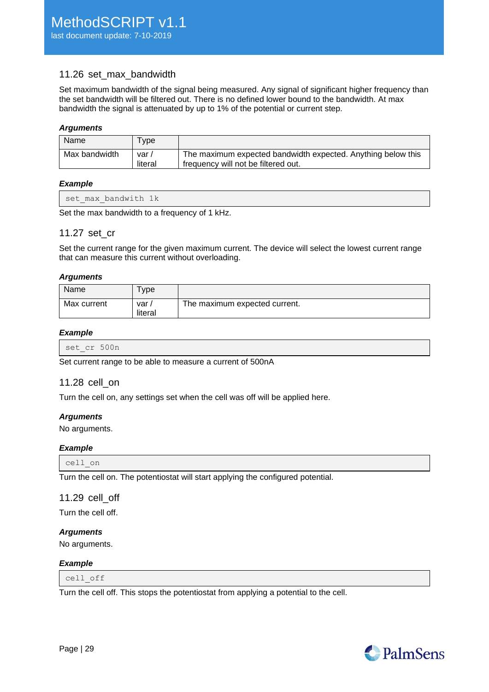## <span id="page-28-0"></span>11.26 set max bandwidth

Set maximum bandwidth of the signal being measured. Any signal of significant higher frequency than the set bandwidth will be filtered out. There is no defined lower bound to the bandwidth. At max bandwidth the signal is attenuated by up to 1% of the potential or current step.

#### *Arguments*

| Name          | vpe <sup>1</sup> |                                                                                                     |
|---------------|------------------|-----------------------------------------------------------------------------------------------------|
| Max bandwidth | var/<br>literal  | The maximum expected bandwidth expected. Anything below this<br>frequency will not be filtered out. |

#### *Example*

| set max bandwith 1k<br>$-$ |  |
|----------------------------|--|
|----------------------------|--|

<span id="page-28-1"></span>Set the max bandwidth to a frequency of 1 kHz.

#### 11.27 set\_cr

Set the current range for the given maximum current. The device will select the lowest current range that can measure this current without overloading.

#### *Arguments*

| Name        | vpe            |                               |
|-------------|----------------|-------------------------------|
| Max current | var<br>literal | The maximum expected current. |

#### *Example*

| set cr 500n |  |  |
|-------------|--|--|
|-------------|--|--|

<span id="page-28-2"></span>Set current range to be able to measure a current of 500nA

## 11.28 cell\_on

Turn the cell on, any settings set when the cell was off will be applied here.

## *Arguments*

No arguments.

#### *Example*

cell\_on

<span id="page-28-3"></span>Turn the cell on. The potentiostat will start applying the configured potential.

## 11.29 cell\_off

Turn the cell off.

#### *Arguments*

No arguments.

#### *Example*

cell\_off

Turn the cell off. This stops the potentiostat from applying a potential to the cell.

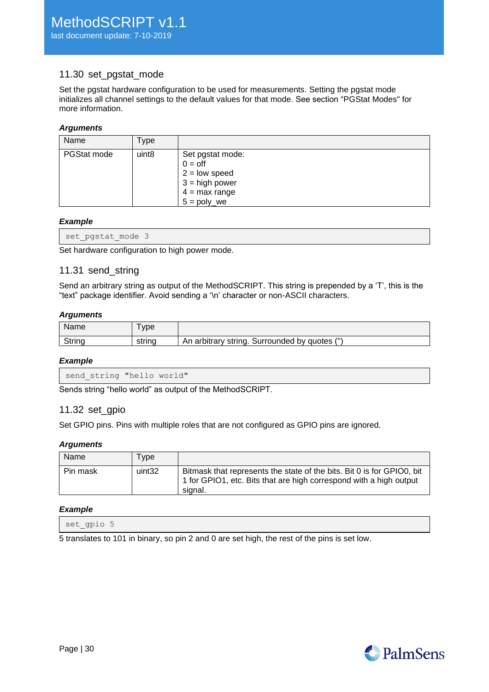# <span id="page-29-0"></span>11.30 set\_pgstat\_mode

Set the pgstat hardware configuration to be used for measurements. Setting the pgstat mode initializes all channel settings to the default values for that mode. See section ["PGStat Modes"](#page-32-0) for more information.

#### *Arguments*

| Name        | Type              |                                                                                                           |
|-------------|-------------------|-----------------------------------------------------------------------------------------------------------|
| PGStat mode | uint <sub>8</sub> | Set pgstat mode:<br>$0 =$ off<br>$2 =$ low speed<br>$3 = high power$<br>$4 = max range$<br>$5 = poly_$ we |

#### *Example*

|  | set pgstat mode 3 |  |  |
|--|-------------------|--|--|
|  |                   |  |  |

<span id="page-29-1"></span>Set hardware configuration to high power mode.

## 11.31 send\_string

Send an arbitrary string as output of the MethodSCRIPT. This string is prepended by a 'T', this is the "text" package identifier. Avoid sending a '\n' character or non-ASCII characters.

#### *Arguments*

| Name   | <b>vpe</b> |                                                              |
|--------|------------|--------------------------------------------------------------|
| Strino | strına     | $\prime$ H<br>An arbitrary string.<br>. Surrounded by quotes |

#### *Example*

```
send string "hello world"
```
<span id="page-29-2"></span>Sends string "hello world" as output of the MethodSCRIPT.

## 11.32 set\_gpio

Set GPIO pins. Pins with multiple roles that are not configured as GPIO pins are ignored.

#### *Arguments*

| Name     | <b>vpe</b> |                                                                                                                                                         |
|----------|------------|---------------------------------------------------------------------------------------------------------------------------------------------------------|
| Pin mask | uint32     | Bitmask that represents the state of the bits. Bit 0 is for GPIO0, bit<br>1 for GPIO1, etc. Bits that are high correspond with a high output<br>signal. |

#### *Example*

set gpio 5

5 translates to 101 in binary, so pin 2 and 0 are set high, the rest of the pins is set low.

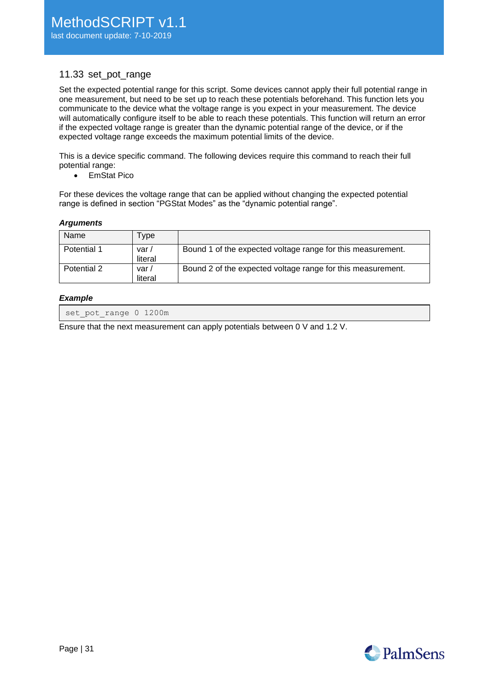## <span id="page-30-0"></span>11.33 set\_pot\_range

Set the expected potential range for this script. Some devices cannot apply their full potential range in one measurement, but need to be set up to reach these potentials beforehand. This function lets you communicate to the device what the voltage range is you expect in your measurement. The device will automatically configure itself to be able to reach these potentials. This function will return an error if the expected voltage range is greater than the dynamic potential range of the device, or if the expected voltage range exceeds the maximum potential limits of the device.

This is a device specific command. The following devices require this command to reach their full potential range:

• EmStat Pico

For these devices the voltage range that can be applied without changing the expected potential range is defined in section ["PGStat Modes"](#page-32-0) as the "dynamic potential range".

#### *Arguments*

| Name        | <b>vpe</b>       |                                                             |
|-------------|------------------|-------------------------------------------------------------|
| Potential 1 | var/<br>literal  | Bound 1 of the expected voltage range for this measurement. |
| Potential 2 | var /<br>literal | Bound 2 of the expected voltage range for this measurement. |

#### *Example*

set pot range 0 1200m

Ensure that the next measurement can apply potentials between 0 V and 1.2 V.

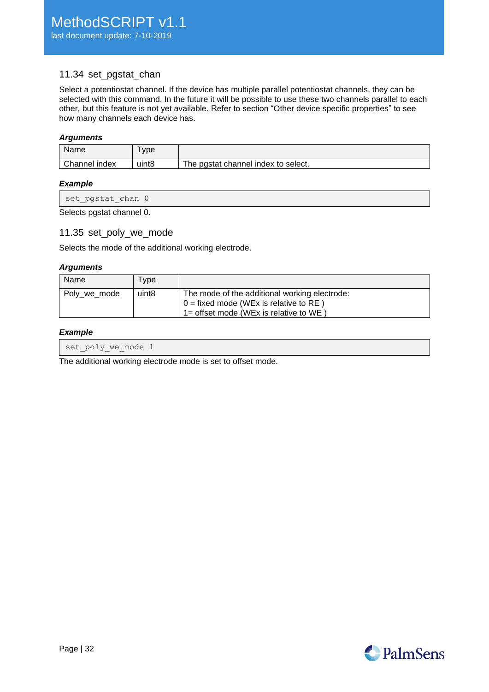# <span id="page-31-0"></span>11.34 set\_pgstat\_chan

Select a potentiostat channel. If the device has multiple parallel potentiostat channels, they can be selected with this command. In the future it will be possible to use these two channels parallel to each other, but this feature is not yet available. Refer to section ["Other device specific properties"](#page-40-0) to see how many channels each device has.

## *Arguments*

| Name          | <b>vpe</b> |                                     |
|---------------|------------|-------------------------------------|
| Channel index | uint8      | The pgstat channel index to select. |

#### *Example*

| set pgstat chan 0         |  |  |
|---------------------------|--|--|
| Selects pgstat channel 0. |  |  |

# <span id="page-31-1"></span>11.35 set\_poly\_we\_mode

Selects the mode of the additional working electrode.

#### *Arguments*

| Name         | Type              |                                                                                                                                     |
|--------------|-------------------|-------------------------------------------------------------------------------------------------------------------------------------|
| Poly_we_mode | uint <sub>8</sub> | The mode of the additional working electrode:<br>$0 = fixed$ mode (WEx is relative to RE)<br>1= offset mode (WEx is relative to WE) |

#### *Example*

|--|

The additional working electrode mode is set to offset mode.

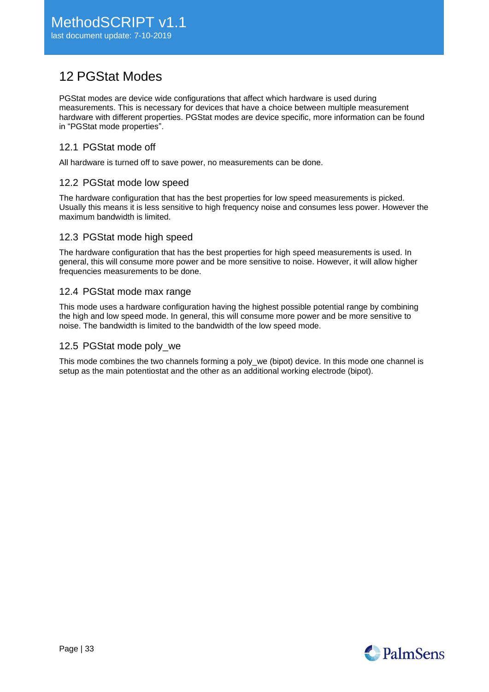# <span id="page-32-0"></span>12 PGStat Modes

PGStat modes are device wide configurations that affect which hardware is used during measurements. This is necessary for devices that have a choice between multiple measurement hardware with different properties. PGStat modes are device specific, more information can be found in ["PGStat mode properties"](#page-38-1).

# <span id="page-32-1"></span>12.1 PGStat mode off

<span id="page-32-2"></span>All hardware is turned off to save power, no measurements can be done.

# 12.2 PGStat mode low speed

The hardware configuration that has the best properties for low speed measurements is picked. Usually this means it is less sensitive to high frequency noise and consumes less power. However the maximum bandwidth is limited.

# <span id="page-32-3"></span>12.3 PGStat mode high speed

The hardware configuration that has the best properties for high speed measurements is used. In general, this will consume more power and be more sensitive to noise. However, it will allow higher frequencies measurements to be done.

# <span id="page-32-4"></span>12.4 PGStat mode max range

This mode uses a hardware configuration having the highest possible potential range by combining the high and low speed mode. In general, this will consume more power and be more sensitive to noise. The bandwidth is limited to the bandwidth of the low speed mode.

## <span id="page-32-5"></span>12.5 PGStat mode poly we

This mode combines the two channels forming a poly\_we (bipot) device. In this mode one channel is setup as the main potentiostat and the other as an additional working electrode (bipot).

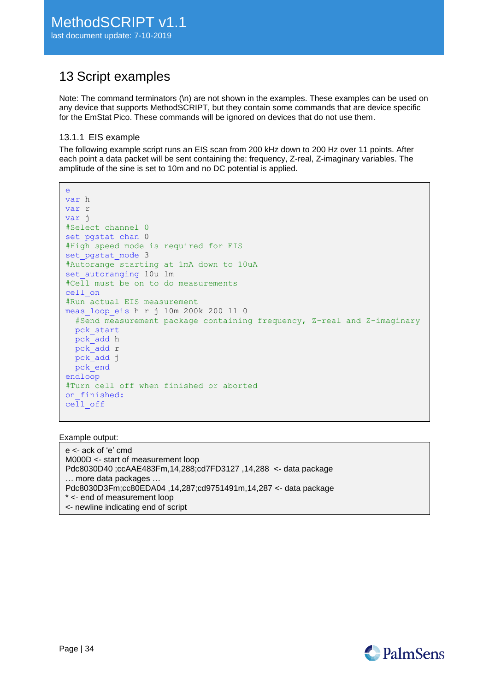# <span id="page-33-0"></span>13 Script examples

Note: The command terminators (\n) are not shown in the examples. These examples can be used on any device that supports MethodSCRIPT, but they contain some commands that are device specific for the EmStat Pico. These commands will be ignored on devices that do not use them.

## <span id="page-33-1"></span>13.1.1 EIS example

e

The following example script runs an EIS scan from 200 kHz down to 200 Hz over 11 points. After each point a data packet will be sent containing the: frequency, Z-real, Z-imaginary variables. The amplitude of the sine is set to 10m and no DC potential is applied.

```
var h
var r
var j
#Select channel 0
set pgstat chan 0
#High speed mode is required for EIS
set pgstat mode 3
#Autorange starting at 1mA down to 10uA
set autoranging 10u 1m
#Cell must be on to do measurements
cell_on
#Run actual EIS measurement
meas_loop_eis h r j 10m 200k 200 11 0
  #Send measurement package containing frequency, Z-real and Z-imaginary
  pck_start
  pck_add h
  pck_add r
 pck_add i
  pck_end
endloop
#Turn cell off when finished or aborted
on finished:
cell_off
```
#### Example output:

e <- ack of 'e' cmd M000D <- start of measurement loop Pdc8030D40 ;ccAAE483Fm,14,288;cd7FD3127 ,14,288 <- data package … more data packages … Pdc8030D3Fm;cc80EDA04 ,14,287;cd9751491m,14,287 <- data package \* <- end of measurement loop <- newline indicating end of script

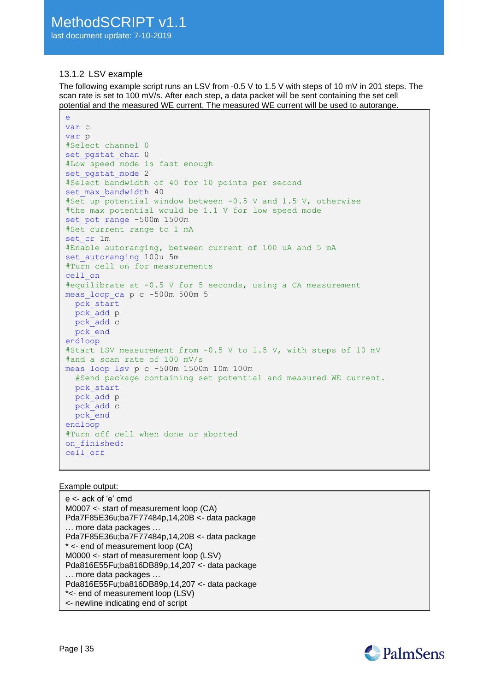## <span id="page-34-0"></span>13.1.2 LSV example

The following example script runs an LSV from -0.5 V to 1.5 V with steps of 10 mV in 201 steps. The scan rate is set to 100 mV/s. After each step, a data packet will be sent containing the set cell potential and the measured WE current. The measured WE current will be used to autorange.

```
e
var c
var p
#Select channel 0
set pgstat chan 0
#Low speed mode is fast enough
set pgstat mode 2
#Select bandwidth of 40 for 10 points per second
set max bandwidth 40
#Set up potential window between -0.5 V and 1.5 V, otherwise 
#the max potential would be 1.1 V for low speed mode
set_pot_range -500m 1500m
#Set current range to 1 mA
set cr 1m
#Enable autoranging, between current of 100 uA and 5 mA
set_autoranging 100u 5m
#Turn cell on for measurements
cell_on
#equilibrate at -0.5 V for 5 seconds, using a CA measurement
meas_loop_ca p c -500m 500m 5
   pck_start
   pck_add p
   pck_add c
   pck_end
endloop
#Start LSV measurement from -0.5 V to 1.5 V, with steps of 10 mV
#and a scan rate of 100 mV/s
meas_loop_lsv p c -500m 1500m 10m 100m
   #Send package containing set potential and measured WE current.
   pck_start
   pck_add p
  pck_add c
   pck_end
endloop
#Turn off cell when done or aborted
on finished:
cell_off
```
#### Example output:

e <- ack of 'e' cmd M0007 <- start of measurement loop (CA) Pda7F85E36u;ba7F77484p,14,20B <- data package … more data packages … Pda7F85E36u;ba7F77484p,14,20B <- data package \* <- end of measurement loop (CA) M0000 <- start of measurement loop (LSV) Pda816E55Fu;ba816DB89p,14,207 <- data package … more data packages … Pda816E55Fu;ba816DB89p,14,207 <- data package \*<- end of measurement loop (LSV) <- newline indicating end of script

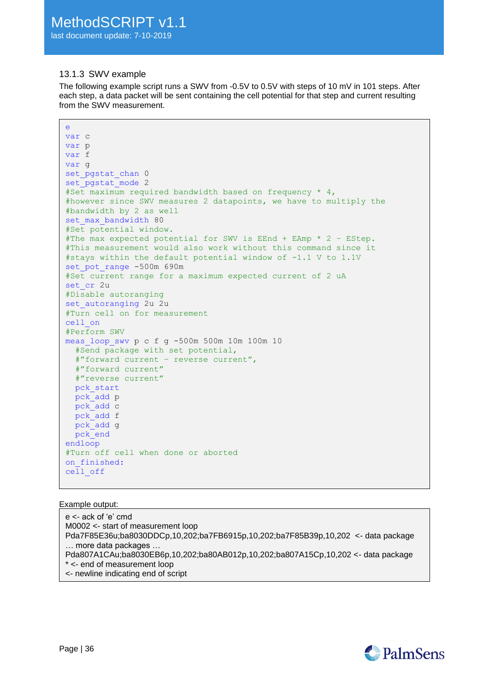## <span id="page-35-0"></span>13.1.3 SWV example

e

The following example script runs a SWV from -0.5V to 0.5V with steps of 10 mV in 101 steps. After each step, a data packet will be sent containing the cell potential for that step and current resulting from the SWV measurement.

```
var c
var p
var f
var g
set pgstat chan 0
set pgstat mode 2
#Set maximum required bandwidth based on frequency * 4,
#however since SWV measures 2 datapoints, we have to multiply the
#bandwidth by 2 as well
set max bandwidth 80
#Set potential window.
#The max expected potential for SWV is EEnd + EAmp * 2 – EStep.
#This measurement would also work without this command since it
#stays within the default potential window of -1.1 V to 1.1V
set pot range -500m 690m
#Set current range for a maximum expected current of 2 uA
set cr 2u
#Disable autoranging
set autoranging 2u 2u
#Turn cell on for measurement
cell_on
#Perform SWV
meas_loop_swv p c f g -500m 500m 10m 100m 10
   #Send package with set potential, 
   #"forward current – reverse current",
   #"forward current"
   #"reverse current"
  pck_start
  pck_add p
  pck_add c
  pck_add f
  pck_add g
  pck_end
endloop
#Turn off cell when done or aborted
on finished:
cell_off
```
#### Example output:

e <- ack of 'e' cmd M0002 <- start of measurement loop Pda7F85E36u;ba8030DDCp,10,202;ba7FB6915p,10,202;ba7F85B39p,10,202 <- data package … more data packages … Pda807A1CAu;ba8030EB6p,10,202;ba80AB012p,10,202;ba807A15Cp,10,202 <- data package \* <- end of measurement loop <- newline indicating end of script

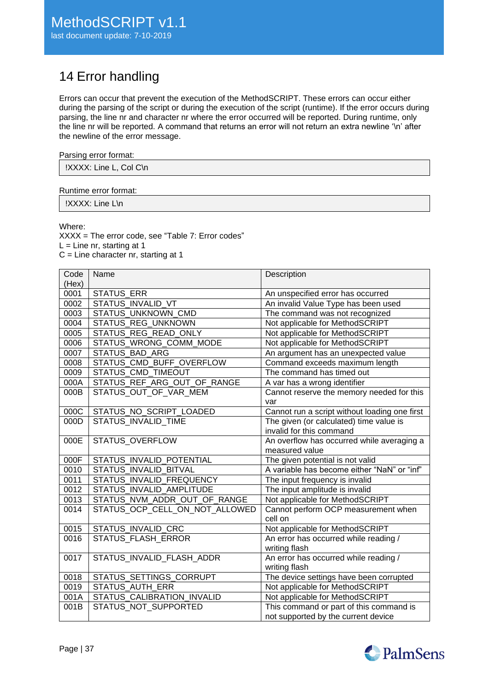# <span id="page-36-0"></span>14 Error handling

Errors can occur that prevent the execution of the MethodSCRIPT. These errors can occur either during the parsing of the script or during the execution of the script (runtime). If the error occurs during parsing, the line nr and character nr where the error occurred will be reported. During runtime, only the line nr will be reported. A command that returns an error will not return an extra newline '\n' after the newline of the error message.

#### Parsing error format:

| IXXXX: Line L, Col C\n |
|------------------------|
|------------------------|

#### Runtime error format:

!XXXX: Line L\n

Where:

XXXX = The error code, see ["Table 7: Error codes"](#page-37-0)  $L =$  Line nr, starting at 1 C = Line character nr, starting at 1

| Code  | Name                           | Description                                   |
|-------|--------------------------------|-----------------------------------------------|
| (Hex) |                                |                                               |
| 0001  | <b>STATUS ERR</b>              | An unspecified error has occurred             |
| 0002  | <b>STATUS INVALID VT</b>       | An invalid Value Type has been used           |
| 0003  | STATUS UNKNOWN CMD             | The command was not recognized                |
| 0004  | STATUS_REG_UNKNOWN             | Not applicable for MethodSCRIPT               |
| 0005  | STATUS REG READ ONLY           | Not applicable for MethodSCRIPT               |
| 0006  | STATUS_WRONG_COMM_MODE         | Not applicable for MethodSCRIPT               |
| 0007  | <b>STATUS BAD ARG</b>          | An argument has an unexpected value           |
| 0008  | STATUS_CMD_BUFF_OVERFLOW       | Command exceeds maximum length                |
| 0009  | STATUS_CMD_TIMEOUT             | The command has timed out                     |
| 000A  | STATUS REF ARG OUT OF RANGE    | A var has a wrong identifier                  |
| 000B  | STATUS_OUT_OF_VAR_MEM          | Cannot reserve the memory needed for this     |
|       |                                | var                                           |
| 000C  | STATUS_NO_SCRIPT_LOADED        | Cannot run a script without loading one first |
| 000D  | STATUS INVALID TIME            | The given (or calculated) time value is       |
|       |                                | invalid for this command                      |
| 000E  | <b>STATUS OVERFLOW</b>         | An overflow has occurred while averaging a    |
|       |                                | measured value                                |
| 000F  | STATUS INVALID POTENTIAL       | The given potential is not valid              |
| 0010  | STATUS_INVALID_BITVAL          | A variable has become either "NaN" or "inf"   |
| 0011  | STATUS INVALID FREQUENCY       | The input frequency is invalid                |
| 0012  | STATUS_INVALID_AMPLITUDE       | The input amplitude is invalid                |
| 0013  | STATUS_NVM_ADDR_OUT_OF_RANGE   | Not applicable for MethodSCRIPT               |
| 0014  | STATUS_OCP_CELL_ON_NOT_ALLOWED | Cannot perform OCP measurement when           |
|       |                                | cell on                                       |
| 0015  | STATUS_INVALID_CRC             | Not applicable for MethodSCRIPT               |
| 0016  | <b>STATUS FLASH ERROR</b>      | An error has occurred while reading /         |
|       |                                | writing flash                                 |
| 0017  | STATUS_INVALID_FLASH_ADDR      | An error has occurred while reading /         |
|       |                                | writing flash                                 |
| 0018  | STATUS_SETTINGS_CORRUPT        | The device settings have been corrupted       |
| 0019  | <b>STATUS AUTH ERR</b>         | Not applicable for MethodSCRIPT               |
| 001A  | STATUS_CALIBRATION_INVALID     | Not applicable for MethodSCRIPT               |
| 001B  | STATUS NOT SUPPORTED           | This command or part of this command is       |
|       |                                | not supported by the current device           |

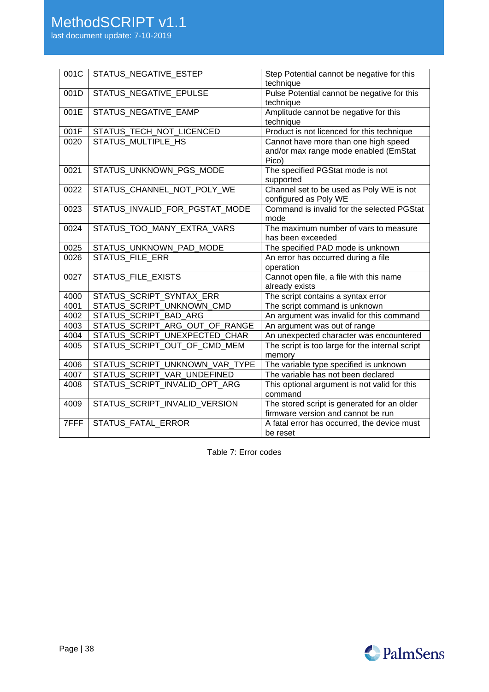|  |  |  | last document update: 7-10-2019 |
|--|--|--|---------------------------------|
|--|--|--|---------------------------------|

| 001C | STATUS_NEGATIVE_ESTEP          | Step Potential cannot be negative for this      |
|------|--------------------------------|-------------------------------------------------|
|      |                                | technique                                       |
| 001D | STATUS_NEGATIVE_EPULSE         | Pulse Potential cannot be negative for this     |
|      |                                | technique                                       |
| 001E | STATUS_NEGATIVE_EAMP           | Amplitude cannot be negative for this           |
|      |                                | technique                                       |
| 001F | STATUS_TECH_NOT_LICENCED       | Product is not licenced for this technique      |
| 0020 | STATUS MULTIPLE HS             | Cannot have more than one high speed            |
|      |                                | and/or max range mode enabled (EmStat           |
|      |                                | Pico)                                           |
| 0021 | STATUS_UNKNOWN_PGS_MODE        | The specified PGStat mode is not                |
|      |                                | supported                                       |
| 0022 | STATUS_CHANNEL_NOT_POLY_WE     | Channel set to be used as Poly WE is not        |
|      |                                | configured as Poly WE                           |
| 0023 | STATUS_INVALID_FOR_PGSTAT_MODE | Command is invalid for the selected PGStat      |
|      |                                | mode                                            |
| 0024 | STATUS_TOO_MANY_EXTRA_VARS     | The maximum number of vars to measure           |
|      |                                | has been exceeded                               |
| 0025 | STATUS_UNKNOWN_PAD_MODE        | The specified PAD mode is unknown               |
| 0026 | <b>STATUS_FILE_ERR</b>         | An error has occurred during a file             |
|      |                                | operation                                       |
| 0027 | STATUS_FILE_EXISTS             | Cannot open file, a file with this name         |
|      |                                | already exists                                  |
| 4000 | STATUS SCRIPT SYNTAX ERR       | The script contains a syntax error              |
| 4001 | STATUS SCRIPT UNKNOWN CMD      | The script command is unknown                   |
| 4002 | STATUS_SCRIPT_BAD_ARG          | An argument was invalid for this command        |
| 4003 | STATUS_SCRIPT_ARG_OUT_OF_RANGE | An argument was out of range                    |
| 4004 | STATUS_SCRIPT_UNEXPECTED_CHAR  | An unexpected character was encountered         |
| 4005 | STATUS_SCRIPT_OUT_OF_CMD_MEM   | The script is too large for the internal script |
|      |                                | memory                                          |
| 4006 | STATUS_SCRIPT_UNKNOWN_VAR_TYPE | The variable type specified is unknown          |
| 4007 | STATUS_SCRIPT_VAR_UNDEFINED    | The variable has not been declared              |
| 4008 | STATUS_SCRIPT_INVALID_OPT_ARG  | This optional argument is not valid for this    |
|      |                                | command                                         |
| 4009 | STATUS_SCRIPT_INVALID_VERSION  | The stored script is generated for an older     |
|      |                                | firmware version and cannot be run              |
| 7FFF | STATUS FATAL ERROR             | A fatal error has occurred, the device must     |
|      |                                | be reset                                        |

<span id="page-37-0"></span>Table 7: Error codes

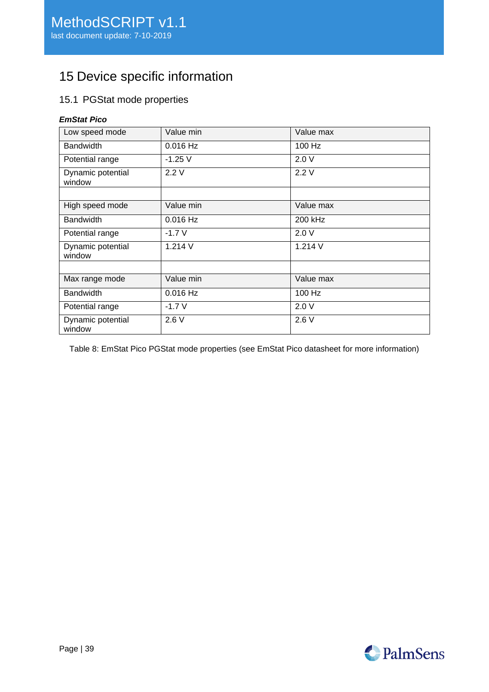# <span id="page-38-0"></span>15 Device specific information

# <span id="page-38-1"></span>15.1 PGStat mode properties

## *EmStat Pico*

| Low speed mode              | Value min  | Value max |
|-----------------------------|------------|-----------|
| <b>Bandwidth</b>            | $0.016$ Hz | 100 Hz    |
| Potential range             | $-1.25$ V  | 2.0V      |
| Dynamic potential<br>window | 2.2V       | 2.2V      |
|                             |            |           |
| High speed mode             | Value min  | Value max |
| <b>Bandwidth</b>            | $0.016$ Hz | 200 kHz   |
| Potential range             | $-1.7V$    | 2.0V      |
| Dynamic potential<br>window | 1.214V     | 1.214 V   |
|                             |            |           |
| Max range mode              | Value min  | Value max |
| <b>Bandwidth</b>            | $0.016$ Hz | 100 Hz    |
| Potential range             | $-1.7V$    | 2.0V      |
| Dynamic potential<br>window | 2.6V       | 2.6V      |

Table 8: EmStat Pico PGStat mode properties (see EmStat Pico datasheet for more information)

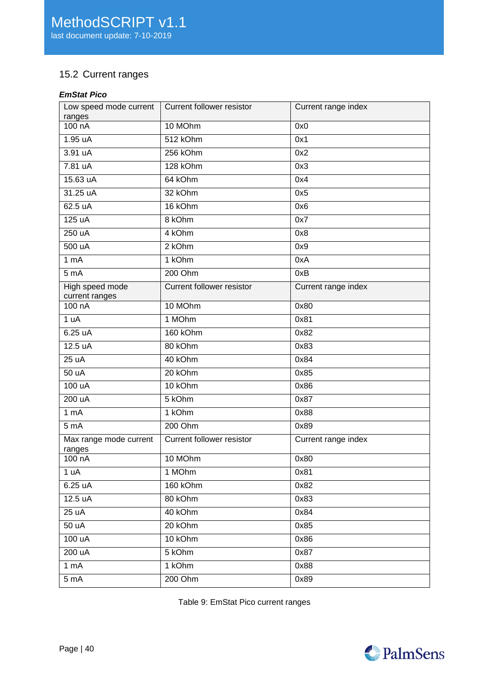# <span id="page-39-0"></span>15.2 Current ranges

# *EmStat Pico*

| Low speed mode current<br>ranges  | <b>Current follower resistor</b> | Current range index |
|-----------------------------------|----------------------------------|---------------------|
| 100 nA                            | 10 MOhm                          | 0x0                 |
| 1.95 uA                           | 512 kOhm                         | 0x1                 |
| $3.91 \text{ uA}$                 | 256 kOhm                         | 0x2                 |
| 7.81 uA                           | 128 kOhm                         | 0x3                 |
| 15.63 uA                          | 64 kOhm                          | 0x4                 |
| 31.25 uA                          | 32 kOhm                          | 0x5                 |
| 62.5 uA                           | 16 kOhm                          | 0x6                 |
| 125 uA                            | 8 kOhm                           | 0x7                 |
| 250 uA                            | 4 kOhm                           | 0x8                 |
| 500 uA                            | 2 kOhm                           | 0x9                 |
| 1 <sub>m</sub> A                  | 1 kOhm                           | 0xA                 |
| 5 <sub>mA</sub>                   | 200 Ohm                          | 0xB                 |
| High speed mode<br>current ranges | <b>Current follower resistor</b> | Current range index |
| 100 nA                            | 10 MOhm                          | 0x80                |
| 1 uA                              | 1 MOhm                           | 0x81                |
| 6.25 uA                           | 160 kOhm                         | 0x82                |
| 12.5 uA                           | 80 kOhm                          | 0x83                |
| 25 uA                             | 40 kOhm                          | 0x84                |
| $\overline{50}$ uA                | 20 kOhm                          | 0x85                |
| 100 uA                            | 10 kOhm                          | 0x86                |
| 200 uA                            | 5 kOhm                           | 0x87                |
| 1 <sub>mA</sub>                   | 1 kOhm                           | 0x88                |
| 5 <sub>m</sub> A                  | 200 Ohm                          | 0x89                |
| Max range mode current<br>ranges  | Current follower resistor        | Current range index |
| 100 nA                            | 10 MOhm                          | 0x80                |
| 1 uA                              | 1 MOhm                           | 0x81                |
| 6.25 uA                           | 160 kOhm                         | 0x82                |
| 12.5 uA                           | 80 kOhm                          | 0x83                |
| 25 uA                             | 40 kOhm                          | 0x84                |
| 50 uA                             | 20 kOhm                          | 0x85                |
| 100 uA                            | 10 kOhm                          | 0x86                |
| 200 uA                            | 5 kOhm                           | 0x87                |
| 1 mA                              | 1 kOhm                           | 0x88                |
| 5 <sub>mA</sub>                   | 200 Ohm                          | 0x89                |

Table 9: EmStat Pico current ranges

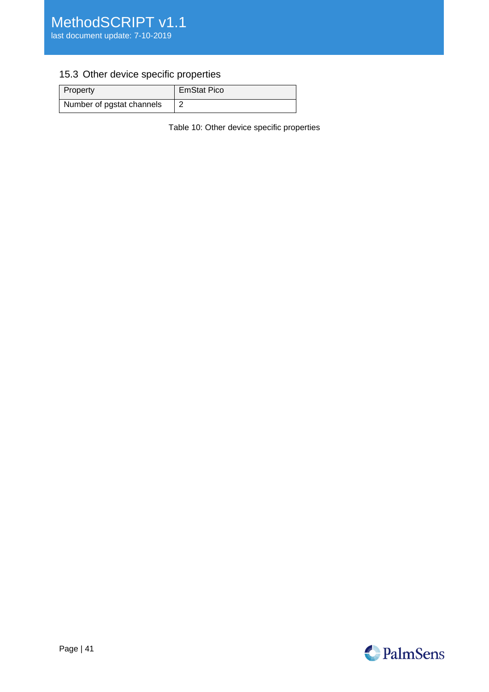# <span id="page-40-0"></span>15.3 Other device specific properties

| Property                  | <b>EmStat Pico</b> |
|---------------------------|--------------------|
| Number of pgstat channels |                    |

Table 10: Other device specific properties